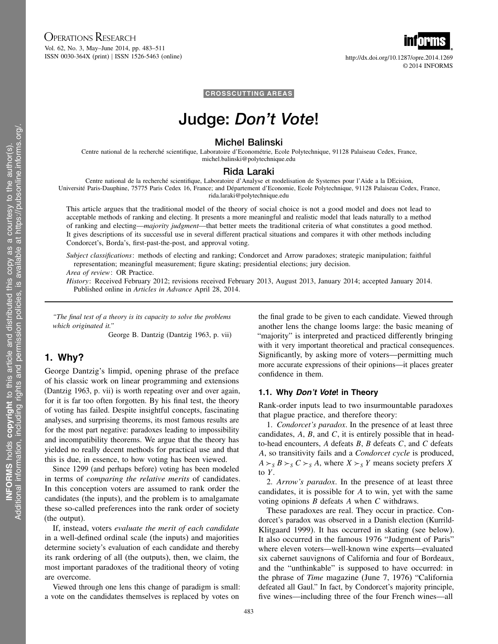# OPERATIONS RESEARCH

Vol. 62, No. 3, May–June 2014, pp. 483–511 ISSN 0030-364X (print) ISSN 1526-5463 (online) http://dx.doi.org/10.1287/opre.2014.1269



CROSSCUTTING AREAS

# Judge: Don't Vote!

### Michel Balinski

Centre national de la recherché scientifique, Laboratoire d'Econométrie, Ecole Polytechnique, 91128 Palaiseau Cedex, France, michel.balinski@polytechnique.edu

#### Rida Laraki

Centre national de la recherché scientifique, Laboratoire d'Analyse et modelisation de Systemes pour l'Aide a la DEcision, Université Paris-Dauphine, 75775 Paris Cedex 16, France; and Département d'Economie, Ecole Polytechnique, 91128 Palaiseau Cedex, France, rida.laraki@polytechnique.edu

This article argues that the traditional model of the theory of social choice is not a good model and does not lead to acceptable methods of ranking and electing. It presents a more meaningful and realistic model that leads naturally to a method of ranking and electing—majority judgment—that better meets the traditional criteria of what constitutes a good method. It gives descriptions of its successful use in several different practical situations and compares it with other methods including Condorcet's, Borda's, first-past-the-post, and approval voting.

Subject classifications: methods of electing and ranking; Condorcet and Arrow paradoxes; strategic manipulation; faithful representation; meaningful measurement; figure skating; presidential elections; jury decision.

Area of review: OR Practice.

History: Received February 2012; revisions received February 2013, August 2013, January 2014; accepted January 2014. Published online in Articles in Advance April 28, 2014.

"The final test of a theory is its capacity to solve the problems which originated it."

George B. Dantzig (Dantzig 1963, p. vii)

### 1. Why?

George Dantzig's limpid, opening phrase of the preface of his classic work on linear programming and extensions (Dantzig 1963, p. vii) is worth repeating over and over again, for it is far too often forgotten. By his final test, the theory of voting has failed. Despite insightful concepts, fascinating analyses, and surprising theorems, its most famous results are for the most part negative: paradoxes leading to impossibility and incompatibility theorems. We argue that the theory has yielded no really decent methods for practical use and that this is due, in essence, to how voting has been viewed.

Since 1299 (and perhaps before) voting has been modeled in terms of comparing the relative merits of candidates. In this conception voters are assumed to rank order the candidates (the inputs), and the problem is to amalgamate these so-called preferences into the rank order of society (the output).

If, instead, voters evaluate the merit of each candidate in a well-defined ordinal scale (the inputs) and majorities determine society's evaluation of each candidate and thereby its rank ordering of all (the outputs), then, we claim, the most important paradoxes of the traditional theory of voting are overcome.

Viewed through one lens this change of paradigm is small: a vote on the candidates themselves is replaced by votes on

the final grade to be given to each candidate. Viewed through another lens the change looms large: the basic meaning of "majority" is interpreted and practiced differently bringing with it very important theoretical and practical consequences. Significantly, by asking more of voters—permitting much more accurate expressions of their opinions—it places greater confidence in them.

### 1.1. Why Don't Vote! in Theory

Rank-order inputs lead to two insurmountable paradoxes that plague practice, and therefore theory:

1. Condorcet's paradox. In the presence of at least three candidates,  $A$ ,  $B$ , and  $C$ , it is entirely possible that in headto-head encounters,  $A$  defeats  $B$ ,  $B$  defeats  $C$ , and  $C$  defeats A, so transitivity fails and a Condorcet cycle is produced,  $A \succ_S B \succ_S C \succ_S A$ , where  $X \succ_S Y$  means society prefers X to  $Y$ .

2. Arrow's paradox. In the presence of at least three candidates, it is possible for A to win, yet with the same voting opinions  $B$  defeats  $A$  when  $C$  withdraws.

These paradoxes are real. They occur in practice. Condorcet's paradox was observed in a Danish election (Kurrild-Klitgaard 1999). It has occurred in skating (see below). It also occurred in the famous 1976 "Judgment of Paris" where eleven voters—well-known wine experts—evaluated six cabernet sauvignons of California and four of Bordeaux, and the "unthinkable" is supposed to have occurred: in the phrase of Time magazine (June 7, 1976) "California defeated all Gaul." In fact, by Condorcet's majority principle, five wines—including three of the four French wines—all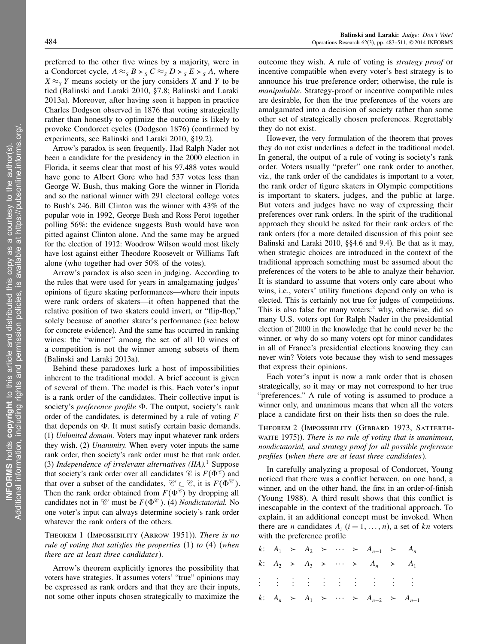preferred to the other five wines by a majority, were in a Condorcet cycle,  $A \approx_S B >_S C \approx_S D >_S E >_S A$ , where  $X \approx_S Y$  means society or the jury considers X and Y to be tied (Balinski and Laraki 2010, §7.8; Balinski and Laraki 2013a). Moreover, after having seen it happen in practice Charles Dodgson observed in 1876 that voting strategically rather than honestly to optimize the outcome is likely to provoke Condorcet cycles (Dodgson 1876) (confirmed by experiments, see Balinski and Laraki 2010, §19.2).

Arrow's paradox is seen frequently. Had Ralph Nader not been a candidate for the presidency in the 2000 election in Florida, it seems clear that most of his 97,488 votes would have gone to Albert Gore who had 537 votes less than George W. Bush, thus making Gore the winner in Florida and so the national winner with 291 electoral college votes to Bush's 246. Bill Clinton was the winner with 43% of the popular vote in 1992, George Bush and Ross Perot together polling 56%: the evidence suggests Bush would have won pitted against Clinton alone. And the same may be argued for the election of 1912: Woodrow Wilson would most likely have lost against either Theodore Roosevelt or Williams Taft alone (who together had over 50% of the votes).

Arrow's paradox is also seen in judging. According to the rules that were used for years in amalgamating judges' opinions of figure skating performances—where their inputs were rank orders of skaters—it often happened that the relative position of two skaters could invert, or "flip-flop," solely because of another skater's performance (see below for concrete evidence). And the same has occurred in ranking wines: the "winner" among the set of all 10 wines of a competition is not the winner among subsets of them (Balinski and Laraki 2013a).

Behind these paradoxes lurk a host of impossibilities inherent to the traditional model. A brief account is given of several of them. The model is this. Each voter's input is a rank order of the candidates. Their collective input is society's *preference profile*  $\Phi$ . The output, society's rank order of the candidates, is determined by a rule of voting  $F$ that depends on  $\Phi$ . It must satisfy certain basic demands. (1) Unlimited domain. Voters may input whatever rank orders they wish. (2) Unanimity. When every voter inputs the same rank order, then society's rank order must be that rank order. (3) Independence of irrelevant alternatives (IIA).<sup>1</sup> Suppose that society's rank order over all candidates  $\mathscr{C}$  is  $F(\Phi^{\mathscr{C}})$  and that over a subset of the candidates,  $\mathcal{C}' \subset \mathcal{C}$ , it is  $F(\Phi^{\mathcal{C}}')$ . Then the rank order obtained from  $F(\Phi^{\mathscr{C}})$  by dropping all candidates not in  $\mathcal{C}'$  must be  $F(\Phi^{\mathcal{C}})$ . (4) *Nondictatorial*. No one voter's input can always determine society's rank order whatever the rank orders of the others.

THEOREM 1 (IMPOSSIBILITY (ARROW 1951)). There is no rule of voting that satisfies the properties (1) to (4) (when there are at least three candidates).

Arrow's theorem explicitly ignores the possibility that voters have strategies. It assumes voters' "true" opinions may be expressed as rank orders and that they are their inputs, not some other inputs chosen strategically to maximize the

outcome they wish. A rule of voting is strategy proof or incentive compatible when every voter's best strategy is to announce his true preference order; otherwise, the rule is manipulable. Strategy-proof or incentive compatible rules are desirable, for then the true preferences of the voters are amalgamated into a decision of society rather than some other set of strategically chosen preferences. Regrettably they do not exist.

However, the very formulation of the theorem that proves they do not exist underlines a defect in the traditional model. In general, the output of a rule of voting is society's rank order. Voters usually "prefer" one rank order to another, viz., the rank order of the candidates is important to a voter, the rank order of figure skaters in Olympic competitions is important to skaters, judges, and the public at large. But voters and judges have no way of expressing their preferences over rank orders. In the spirit of the traditional approach they should be asked for their rank orders of the rank orders (for a more detailed discussion of this point see Balinski and Laraki 2010, §§4.6 and 9.4). Be that as it may, when strategic choices are introduced in the context of the traditional approach something must be assumed about the preferences of the voters to be able to analyze their behavior. It is standard to assume that voters only care about who wins, i.e., voters' utility functions depend only on who is elected. This is certainly not true for judges of competitions. This is also false for many voters: $^2$  why, otherwise, did so many U.S. voters opt for Ralph Nader in the presidential election of 2000 in the knowledge that he could never be the winner, or why do so many voters opt for minor candidates in all of France's presidential elections knowing they can never win? Voters vote because they wish to send messages that express their opinions.

Each voter's input is now a rank order that is chosen strategically, so it may or may not correspond to her true "preferences." A rule of voting is assumed to produce a winner only, and unanimous means that when all the voters place a candidate first on their lists then so does the rule.

THEOREM 2 (IMPOSSIBILITY (GIBBARD 1973, SATTERTHwaite 1975)). There is no rule of voting that is unanimous, nondictatorial, and strategy proof for all possible preference profiles (when there are at least three candidates).

In carefully analyzing a proposal of Condorcet, Young noticed that there was a conflict between, on one hand, a winner, and on the other hand, the first in an order-of-finish (Young 1988). A third result shows that this conflict is inescapable in the context of the traditional approach. To explain, it an additional concept must be invoked. When there are *n* candidates  $A_i$   $(i = 1, \ldots, n)$ , a set of kn voters with the preference profile

|  |  |  | k: $A_1 \succ A_2 \succ \cdots \succ A_{n-1} \succ A_n$ |  |
|--|--|--|---------------------------------------------------------|--|
|  |  |  | k: $A_2$ > $A_3$ > $\cdots$ > $A_n$ > $A_1$             |  |
|  |  |  |                                                         |  |
|  |  |  | k: $A_n > A_1 > \cdots > A_{n-2} > A_{n-1}$             |  |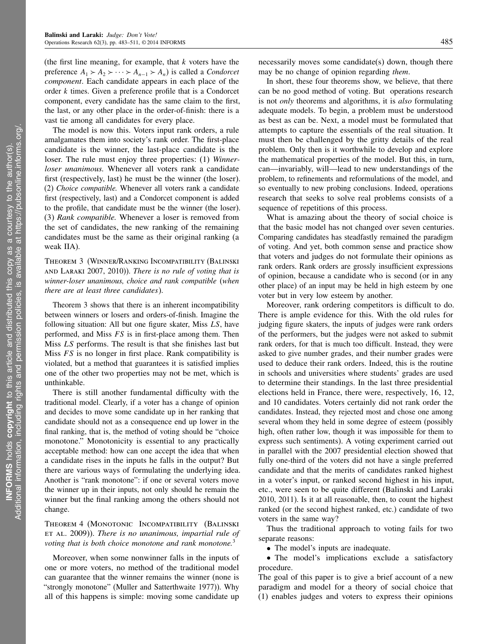(the first line meaning, for example, that  $k$  voters have the preference  $A_1 > A_2 > \cdots > A_{n-1} > A_n$ ) is called a *Condorcet* component. Each candidate appears in each place of the order k times. Given a preference profile that is a Condorcet component, every candidate has the same claim to the first, the last, or any other place in the order-of-finish: there is a vast tie among all candidates for every place.

The model is now this. Voters input rank orders, a rule amalgamates them into society's rank order. The first-place candidate is the winner, the last-place candidate is the loser. The rule must enjoy three properties: (1) Winnerloser unanimous. Whenever all voters rank a candidate first (respectively, last) he must be the winner (the loser). (2) Choice compatible. Whenever all voters rank a candidate first (respectively, last) and a Condorcet component is added to the profile, that candidate must be the winner (the loser). (3) Rank compatible. Whenever a loser is removed from the set of candidates, the new ranking of the remaining candidates must be the same as their original ranking (a weak IIA).

Theorem 3 (Winner/Ranking Incompatibility (Balinski AND LARAKI 2007, 2010)). There is no rule of voting that is winner-loser unanimous, choice and rank compatible (when there are at least three candidates).

Theorem 3 shows that there is an inherent incompatibility between winners or losers and orders-of-finish. Imagine the following situation: All but one figure skater, Miss LS, have performed, and Miss  $FS$  is in first-place among them. Then Miss LS performs. The result is that she finishes last but Miss  $FS$  is no longer in first place. Rank compatibility is violated, but a method that guarantees it is satisfied implies one of the other two properties may not be met, which is unthinkable.

There is still another fundamental difficulty with the traditional model. Clearly, if a voter has a change of opinion and decides to move some candidate up in her ranking that candidate should not as a consequence end up lower in the final ranking, that is, the method of voting should be "choice monotone." Monotonicity is essential to any practically acceptable method: how can one accept the idea that when a candidate rises in the inputs he falls in the output? But there are various ways of formulating the underlying idea. Another is "rank monotone": if one or several voters move the winner up in their inputs, not only should he remain the winner but the final ranking among the others should not change.

### Theorem 4 (Monotonic Incompatibility (Balinski ET AL. 2009)). There is no unanimous, impartial rule of voting that is both choice monotone and rank monotone.<sup>3</sup>

Moreover, when some nonwinner falls in the inputs of one or more voters, no method of the traditional model can guarantee that the winner remains the winner (none is "strongly monotone" (Muller and Satterthwaite 1977)). Why all of this happens is simple: moving some candidate up necessarily moves some candidate(s) down, though there may be no change of opinion regarding *them*.

In short, these four theorems show, we believe, that there can be no good method of voting. But operations research is not *only* theorems and algorithms, it is *also* formulating adequate models. To begin, a problem must be understood as best as can be. Next, a model must be formulated that attempts to capture the essentials of the real situation. It must then be challenged by the gritty details of the real problem. Only then is it worthwhile to develop and explore the mathematical properties of the model. But this, in turn, can—invariably, will—lead to new understandings of the problem, to refinements and reformulations of the model, and so eventually to new probing conclusions. Indeed, operations research that seeks to solve real problems consists of a sequence of repetitions of this process.

What is amazing about the theory of social choice is that the basic model has not changed over seven centuries. Comparing candidates has steadfastly remained the paradigm of voting. And yet, both common sense and practice show that voters and judges do not formulate their opinions as rank orders. Rank orders are grossly insufficient expressions of opinion, because a candidate who is second (or in any other place) of an input may be held in high esteem by one voter but in very low esteem by another.

Moreover, rank ordering competitors is difficult to do. There is ample evidence for this. With the old rules for judging figure skaters, the inputs of judges were rank orders of the performers, but the judges were not asked to submit rank orders, for that is much too difficult. Instead, they were asked to give number grades, and their number grades were used to deduce their rank orders. Indeed, this is the routine in schools and universities where students' grades are used to determine their standings. In the last three presidential elections held in France, there were, respectively, 16, 12, and 10 candidates. Voters certainly did not rank order the candidates. Instead, they rejected most and chose one among several whom they held in some degree of esteem (possibly high, often rather low, though it was impossible for them to express such sentiments). A voting experiment carried out in parallel with the 2007 presidential election showed that fully one-third of the voters did not have a single preferred candidate and that the merits of candidates ranked highest in a voter's input, or ranked second highest in his input, etc., were seen to be quite different (Balinski and Laraki 2010, 2011). Is it at all reasonable, then, to count the highest ranked (or the second highest ranked, etc.) candidate of two voters in the same way?

Thus the traditional approach to voting fails for two separate reasons:

• The model's inputs are inadequate.

• The model's implications exclude a satisfactory procedure.

The goal of this paper is to give a brief account of a new paradigm and model for a theory of social choice that (1) enables judges and voters to express their opinions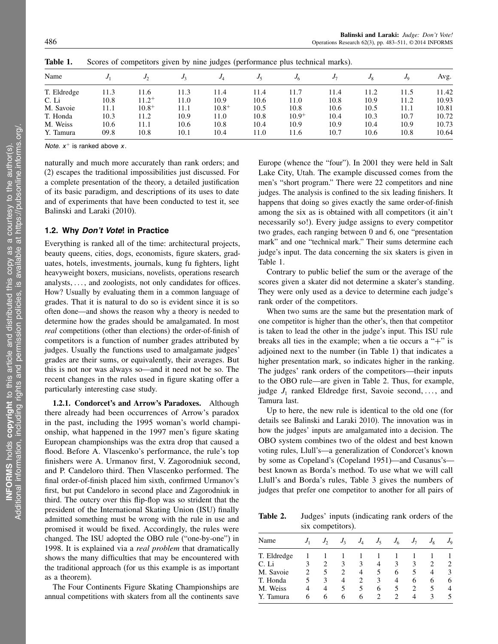| Name        |      | Jኅ         |      | JA         |      | J6         |      | Jo   | J <sub>0</sub> | Avg.  |
|-------------|------|------------|------|------------|------|------------|------|------|----------------|-------|
| T. Eldredge | 11.3 | 1.6        | 11.3 | 11.4       | 11.4 | 11.7       | 11.4 | 11.2 | 11.5           | 11.42 |
| C. Li       | 10.8 | $11.2^{+}$ | 11.0 | 10.9       | 10.6 | 11.0       | 10.8 | 10.9 | 11.2           | 10.93 |
| M. Savoie   | 11.1 | $10.8^{+}$ | 11.1 | $10.8^{+}$ | 10.5 | 10.8       | 10.6 | 10.5 | 11.1           | 10.81 |
| T. Honda    | 10.3 | 11.2       | 10.9 | 11.0       | 10.8 | $10.9^{+}$ | 10.4 | 10.3 | 10.7           | 10.72 |
| M. Weiss    | 10.6 | 11.1       | 10.6 | 10.8       | 10.4 | 10.9       | 10.9 | 10.4 | 10.9           | 10.73 |
| Y. Tamura   | 09.8 | 10.8       | 10.1 | 10.4       | 11.0 | 11.6       | 10.7 | 10.6 | 10.8           | 10.64 |

Table 1. Scores of competitors given by nine judges (performance plus technical marks).

Note.  $x^+$  is ranked above  $x$ .

naturally and much more accurately than rank orders; and (2) escapes the traditional impossibilities just discussed. For a complete presentation of the theory, a detailed justification of its basic paradigm, and descriptions of its uses to date and of experiments that have been conducted to test it, see Balinski and Laraki (2010).

### 1.2. Why Don't Vote! in Practice

Everything is ranked all of the time: architectural projects, beauty queens, cities, dogs, economists, figure skaters, graduates, hotels, investments, journals, kung fu fighters, light heavyweight boxers, musicians, novelists, operations research analysts,  $\dots$ , and zoologists, not only candidates for offices. How? Usually by evaluating them in a common language of grades. That it is natural to do so is evident since it is so often done—and shows the reason why a theory is needed to determine how the grades should be amalgamated. In most real competitions (other than elections) the order-of-finish of competitors is a function of number grades attributed by judges. Usually the functions used to amalgamate judges' grades are their sums, or equivalently, their averages. But this is not nor was always so—and it need not be so. The recent changes in the rules used in figure skating offer a particularly interesting case study.

1.2.1. Condorcet's and Arrow's Paradoxes. Although there already had been occurrences of Arrow's paradox in the past, including the 1995 woman's world championship, what happened in the 1997 men's figure skating European championships was the extra drop that caused a flood. Before A. Vlascenko's performance, the rule's top finishers were A. Urmanov first, V. Zagorodniuk second, and P. Candeloro third. Then Vlascenko performed. The final order-of-finish placed him sixth, confirmed Urmanov's first, but put Candeloro in second place and Zagorodniuk in third. The outcry over this flip-flop was so strident that the president of the International Skating Union (ISU) finally admitted something must be wrong with the rule in use and promised it would be fixed. Accordingly, the rules were changed. The ISU adopted the OBO rule ("one-by-one") in 1998. It is explained via a *real problem* that dramatically shows the many difficulties that may be encountered with the traditional approach (for us this example is as important as a theorem).

The Four Continents Figure Skating Championships are annual competitions with skaters from all the continents save

Europe (whence the "four"). In 2001 they were held in Salt Lake City, Utah. The example discussed comes from the men's "short program." There were 22 competitors and nine judges. The analysis is confined to the six leading finishers. It happens that doing so gives exactly the same order-of-finish among the six as is obtained with all competitors (it ain't necessarily so!). Every judge assigns to every competitor two grades, each ranging between 0 and 6, one "presentation mark" and one "technical mark." Their sums determine each judge's input. The data concerning the six skaters is given in Table 1.

Contrary to public belief the sum or the average of the scores given a skater did not determine a skater's standing. They were only used as a device to determine each judge's rank order of the competitors.

When two sums are the same but the presentation mark of one competitor is higher than the other's, then that competitor is taken to lead the other in the judge's input. This ISU rule breaks all ties in the example; when a tie occurs a " $+$ " is adjoined next to the number (in Table 1) that indicates a higher presentation mark, so indicates higher in the ranking. The judges' rank orders of the competitors—their inputs to the OBO rule—are given in Table 2. Thus, for example, judge  $J_1$  ranked Eldredge first, Savoie second, ..., and Tamura last.

Up to here, the new rule is identical to the old one (for details see Balinski and Laraki 2010). The innovation was in how the judges' inputs are amalgamated into a decision. The OBO system combines two of the oldest and best known voting rules, Llull's—a generalization of Condorcet's known by some as Copeland's (Copeland 1951)—and Cusanus's best known as Borda's method. To use what we will call Llull's and Borda's rules, Table 3 gives the numbers of judges that prefer one competitor to another for all pairs of

Table 2. Judges' inputs (indicating rank orders of the six competitors).

|             |   | $\frac{1}{2}$ |                |       |       |       |                       |             |         |
|-------------|---|---------------|----------------|-------|-------|-------|-----------------------|-------------|---------|
| Name        |   |               | J <sub>3</sub> | $J_4$ | $J_5$ | $J_6$ | $J_{7}$               | $J_{\rm R}$ | $J_{9}$ |
| T. Eldredge |   |               |                |       |       |       |                       |             |         |
| C. Li       |   | 2             | 3              | 3     | 4     | 3     | 3                     | 2           | 2.      |
| M. Savoie   |   | 5             | 2              | 4     | 5     | 6     | 5                     | 4           | 3       |
| T. Honda    |   | 3             | 4              | 2     | 3     | 4     | 6                     | 6           | 6       |
| M. Weiss    | 4 | 4             | 5              | 5     | 6     | 5.    | $\mathcal{D}_{\cdot}$ | 5           | 4       |
| Y. Tamura   | 6 | 6             | 6              | 6     | 2     |       | 4                     | 3           |         |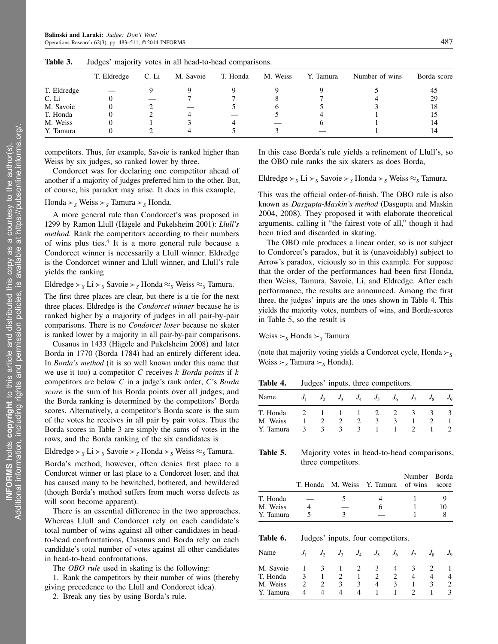|             | T. Eldredge | C. Li | M. Savoie | T. Honda | M. Weiss | Y. Tamura | Number of wins | Borda score |
|-------------|-------------|-------|-----------|----------|----------|-----------|----------------|-------------|
| T. Eldredge |             |       |           |          |          |           |                | 45          |
| C. Li       |             |       |           |          |          |           |                | 29          |
| M. Savoie   |             |       |           |          |          |           |                | 18          |
| T. Honda    |             |       |           |          |          |           |                |             |
| M. Weiss    |             |       |           |          |          |           |                |             |
| Y. Tamura   |             |       |           |          |          |           |                |             |

Table 3. Judges' majority votes in all head-to-head comparisons.

competitors. Thus, for example, Savoie is ranked higher than Weiss by six judges, so ranked lower by three.

Condorcet was for declaring one competitor ahead of another if a majority of judges preferred him to the other. But, of course, his paradox may arise. It does in this example,

Honda  $\geq_s$  Weiss  $\geq_s$  Tamura  $\geq_s$  Honda.

A more general rule than Condorcet's was proposed in 1299 by Ramon Llull (Hägele and Pukelsheim 2001): Llull's method. Rank the competitors according to their numbers of wins plus ties.<sup>4</sup> It is a more general rule because a Condorcet winner is necessarily a Llull winner. Eldredge is the Condorcet winner and Llull winner, and Llull's rule yields the ranking

Eldredge  $\succ_s$  Li  $\succ_s$  Savoie  $\succ_s$  Honda  $\approx_s$  Weiss  $\approx_s$  Tamura.

The first three places are clear, but there is a tie for the next three places. Eldredge is the Condorcet winner because he is ranked higher by a majority of judges in all pair-by-pair comparisons. There is no Condorcet loser because no skater is ranked lower by a majority in all pair-by-pair comparisons.

Cusanus in 1433 (Hägele and Pukelsheim 2008) and later Borda in 1770 (Borda 1784) had an entirely different idea. In Borda's method (it is so well known under this name that we use it too) a competitor  $C$  receives  $k$  Borda points if  $k$ competitors are below C in a judge's rank order; C's Borda score is the sum of his Borda points over all judges; and the Borda ranking is determined by the competitors' Borda scores. Alternatively, a competitor's Borda score is the sum of the votes he receives in all pair by pair votes. Thus the Borda scores in Table 3 are simply the sums of votes in the rows, and the Borda ranking of the six candidates is

Eldredge  $\succ_S$  Li  $\succ_S$  Savoie  $\succ_S$  Honda  $\succ_S$  Weiss  $\approx_S$  Tamura.

Borda's method, however, often denies first place to a Condorcet winner or last place to a Condorcet loser, and that has caused many to be bewitched, bothered, and bewildered (though Borda's method suffers from much worse defects as will soon become apparent).

There is an essential difference in the two approaches. Whereas Llull and Condorcet rely on each candidate's total number of wins against all other candidates in headto-head confrontations, Cusanus and Borda rely on each candidate's total number of votes against all other candidates in head-to-head confrontations.

The *OBO rule* used in skating is the following:

1. Rank the competitors by their number of wins (thereby giving precedence to the Llull and Condorcet idea).

2. Break any ties by using Borda's rule.

In this case Borda's rule yields a refinement of Llull's, so the OBO rule ranks the six skaters as does Borda,

Eldredge  $\succ_S L$ i  $\succ_S$  Savoie  $\succ_S$  Honda  $\succ_S$  Weiss  $\approx_S$  Tamura.

This was the official order-of-finish. The OBO rule is also known as Dasgupta-Maskin's method (Dasgupta and Maskin 2004, 2008). They proposed it with elaborate theoretical arguments, calling it "the fairest vote of all," though it had been tried and discarded in skating.

The OBO rule produces a linear order, so is not subject to Condorcet's paradox, but it is (unavoidably) subject to Arrow's paradox, viciously so in this example. For suppose that the order of the performances had been first Honda, then Weiss, Tamura, Savoie, Li, and Eldredge. After each performance, the results are announced. Among the first three, the judges' inputs are the ones shown in Table 4. This yields the majority votes, numbers of wins, and Borda-scores in Table 5, so the result is

Weiss  $>\s$  Honda  $>\s$  Tamura

(note that majority voting yields a Condorcet cycle, Honda  $\succ_S$ Weiss  $\succ_S$  Tamura  $\succ_S$  Honda).

Table 4. Judges' inputs, three competitors.

| Name      | J | $J_{2}$ | $J_3$         | $J_4$         | $J_5$   | $J_6$ | $J_7$    | $J_{8}$ | $J_{9}$ |
|-----------|---|---------|---------------|---------------|---------|-------|----------|---------|---------|
| T. Honda  |   |         |               |               |         |       | $\Delta$ |         |         |
| M. Weiss  |   |         |               |               | $\prec$ |       |          |         |         |
| Y. Tamura | к |         | $\mathcal{A}$ | $\rightarrow$ |         |       |          |         |         |

Table 5. Majority votes in head-to-head comparisons, three competitors.

|           |  | T. Honda M. Weiss Y. Tamura of wins | Number Borda | score |
|-----------|--|-------------------------------------|--------------|-------|
| T. Honda  |  |                                     |              |       |
| M. Weiss  |  | 6                                   |              | 10    |
| Y. Tamura |  |                                     |              |       |

Table 6. Judges' inputs, four competitors.

| Name      |   | $J_{2}$                                                                                                                                                         | $J_3$ | $J_A$ | $J_5$ | $J_6$ | $J_7$ | $J_{8}$ | $J_{\rm Q}$ |
|-----------|---|-----------------------------------------------------------------------------------------------------------------------------------------------------------------|-------|-------|-------|-------|-------|---------|-------------|
| M. Savoie |   | К                                                                                                                                                               |       |       | 3     |       |       |         |             |
| T. Honda  | 3 |                                                                                                                                                                 |       |       |       |       |       |         |             |
| M. Weiss  | 2 | $\mathcal{D}_{\mathcal{A}}^{\mathcal{A}}(\mathcal{A})=\mathcal{D}_{\mathcal{A}}^{\mathcal{A}}(\mathcal{A})\mathcal{D}_{\mathcal{A}}^{\mathcal{A}}(\mathcal{A})$ | 3     | З     |       |       |       |         |             |
| Y. Tamura |   |                                                                                                                                                                 |       |       |       |       |       |         |             |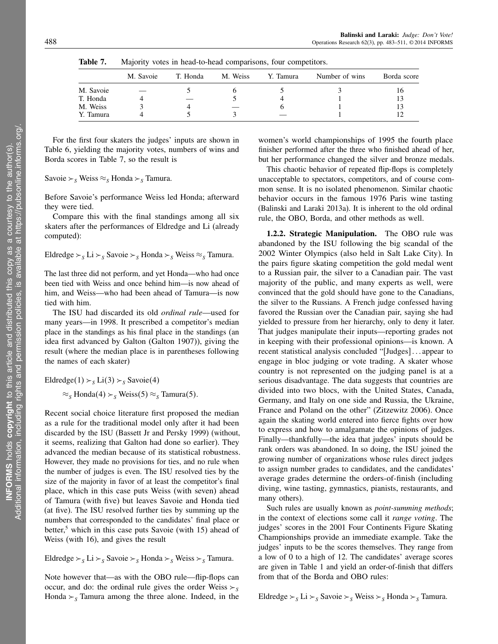|           | M. Savoie | T. Honda | M. Weiss | Y. Tamura | Number of wins | Borda score |
|-----------|-----------|----------|----------|-----------|----------------|-------------|
| M. Savoie |           |          |          |           |                | 16          |
| T. Honda  |           |          |          |           |                | 13          |
| M. Weiss  |           |          |          |           |                |             |
| Y. Tamura |           |          |          |           |                |             |

Table 7. Majority votes in head-to-head comparisons, four competitors.

For the first four skaters the judges' inputs are shown in Table 6, yielding the majority votes, numbers of wins and Borda scores in Table 7, so the result is

Savoie  $\succ_S$  Weiss  $\approx_S$  Honda  $\succ_S$  Tamura.

Before Savoie's performance Weiss led Honda; afterward they were tied.

Compare this with the final standings among all six skaters after the performances of Eldredge and Li (already computed):

Eldredge  $\succ_S L$ i  $\succ_S$  Savoie  $\succ_S$  Honda  $\succ_S$  Weiss  $\approx_S$  Tamura.

The last three did not perform, and yet Honda—who had once been tied with Weiss and once behind him—is now ahead of him, and Weiss—who had been ahead of Tamura—is now tied with him.

The ISU had discarded its old ordinal rule—used for many years—in 1998. It prescribed a competitor's median place in the standings as his final place in the standings (an idea first advanced by Galton (Galton 1907)), giving the result (where the median place is in parentheses following the names of each skater)

Eldredge(1)  $\succ_S$  Li(3)  $\succ_S$  Savoie(4)

 $\approx$ <sub>S</sub> Honda(4)  $\approx$ <sub>S</sub> Weiss(5)  $\approx$ <sub>S</sub> Tamura(5).

Recent social choice literature first proposed the median as a rule for the traditional model only after it had been discarded by the ISU (Bassett Jr and Persky 1999) (without, it seems, realizing that Galton had done so earlier). They advanced the median because of its statistical robustness. However, they made no provisions for ties, and no rule when the number of judges is even. The ISU resolved ties by the size of the majority in favor of at least the competitor's final place, which in this case puts Weiss (with seven) ahead of Tamura (with five) but leaves Savoie and Honda tied (at five). The ISU resolved further ties by summing up the numbers that corresponded to the candidates' final place or better,<sup>5</sup> which in this case puts Savoie (with 15) ahead of Weiss (with 16), and gives the result

Eldredge  $\succ_S L$ i  $\succ_S$  Savoie  $\succ_S$  Honda  $\succ_S$  Weiss  $\succ_S$  Tamura.

Note however that—as with the OBO rule—flip-flops can occur, and do: the ordinal rule gives the order Weiss  $\geq$  s Honda  $\geq$ <sub>S</sub> Tamura among the three alone. Indeed, in the women's world championships of 1995 the fourth place finisher performed after the three who finished ahead of her, but her performance changed the silver and bronze medals.

This chaotic behavior of repeated flip-flops is completely unacceptable to spectators, competitors, and of course common sense. It is no isolated phenomenon. Similar chaotic behavior occurs in the famous 1976 Paris wine tasting (Balinski and Laraki 2013a). It is inherent to the old ordinal rule, the OBO, Borda, and other methods as well.

1.2.2. Strategic Manipulation. The OBO rule was abandoned by the ISU following the big scandal of the 2002 Winter Olympics (also held in Salt Lake City). In the pairs figure skating competition the gold medal went to a Russian pair, the silver to a Canadian pair. The vast majority of the public, and many experts as well, were convinced that the gold should have gone to the Canadians, the silver to the Russians. A French judge confessed having favored the Russian over the Canadian pair, saying she had yielded to pressure from her hierarchy, only to deny it later. That judges manipulate their inputs—reporting grades not in keeping with their professional opinions—is known. A recent statistical analysis concluded "[Judges]...appear to engage in bloc judging or vote trading. A skater whose country is not represented on the judging panel is at a serious disadvantage. The data suggests that countries are divided into two blocs, with the United States, Canada, Germany, and Italy on one side and Russia, the Ukraine, France and Poland on the other" (Zitzewitz 2006). Once again the skating world entered into fierce fights over how to express and how to amalgamate the opinions of judges. Finally—thankfully—the idea that judges' inputs should be rank orders was abandoned. In so doing, the ISU joined the growing number of organizations whose rules direct judges to assign number grades to candidates, and the candidates' average grades determine the orders-of-finish (including diving, wine tasting, gymnastics, pianists, restaurants, and many others).

Such rules are usually known as *point-summing methods*; in the context of elections some call it range voting. The judges' scores in the 2001 Four Continents Figure Skating Championships provide an immediate example. Take the judges' inputs to be the scores themselves. They range from a low of 0 to a high of 12. The candidates' average scores are given in Table 1 and yield an order-of-finish that differs from that of the Borda and OBO rules:

Eldredge  $\succ_S$  Li  $\succ_S$  Savoie  $\succ_S$  Weiss  $\succ_S$  Honda  $\succ_S$  Tamura.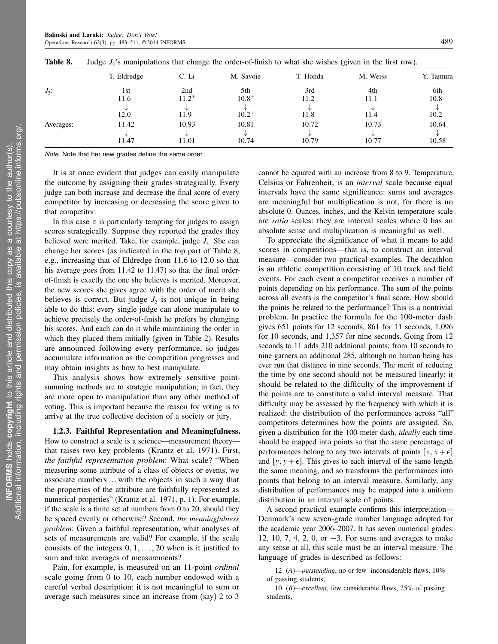|           | T. Eldredge | C. Li      | M. Savoie  | T. Honda | M. Weiss | Y. Tamura |
|-----------|-------------|------------|------------|----------|----------|-----------|
| $J_2$ :   | 1st         | 2nd        | 5th        | 3rd      | 4th      | 6th       |
|           | 11.6        | $11.2^{+}$ | $10.8^{+}$ | 11.2     | 11.1     | 10.8      |
|           |             |            |            |          |          |           |
|           | 12.0        | 11.9       | $10.2^{+}$ | 11.8     | 11.4     | 10.2      |
| Averages: | 11.42       | 10.93      | 10.81      | 10.72    | 10.73    | 10.64     |
|           |             |            |            |          |          |           |
|           | 11.47       | 11.01      | 10.74      | 10.79    | 10.77    | 10.58     |

**Table 8.** Judge  $J_2$ 's manipulations that change the order-of-finish to what she wishes (given in the first row).

Note. Note that her new grades define the same order.

It is at once evident that judges can easily manipulate the outcome by assigning their grades strategically. Every judge can both increase and decrease the final score of every competitor by increasing or decreasing the score given to that competitor.

In this case it is particularly tempting for judges to assign scores strategically. Suppose they reported the grades they believed were merited. Take, for example, judge  $J_2$ . She can change her scores (as indicated in the top part of Table 8, e.g., increasing that of Eldredge from 11.6 to 12.0 so that his average goes from 11.42 to 11.47) so that the final orderof-finish is exactly the one she believes is merited. Moreover, the new scores she gives agree with the order of merit she believes is correct. But judge  $J_2$  is not unique in being able to do this: every single judge can alone manipulate to achieve precisely the order-of-finish he prefers by changing his scores. And each can do it while maintaining the order in which they placed them initially (given in Table 2). Results are announced following every performance, so judges accumulate information as the competition progresses and may obtain insights as how to best manipulate.

This analysis shows how extremely sensitive pointsumming methods are to strategic manipulation; in fact, they are more open to manipulation than any other method of voting. This is important because the reason for voting is to arrive at the true collective decision of a society or jury.

1.2.3. Faithful Representation and Meaningfulness. How to construct a scale is a science—measurement theory that raises two key problems (Krantz et al. 1971). First, the faithful representation problem: What scale? "When measuring some attribute of a class of objects or events, we associate numbers... with the objects in such a way that the properties of the attribute are faithfully represented as numerical properties" (Krantz et al. 1971, p. 1). For example, if the scale is a finite set of numbers from 0 to 20, should they be spaced evenly or otherwise? Second, the meaningfulness problem: Given a faithful representation, what analyses of sets of measurements are valid? For example, if the scale consists of the integers  $0, 1, \ldots, 20$  when is it justified to sum and take averages of measurements?

Pain, for example, is measured on an 11-point ordinal scale going from 0 to 10, each number endowed with a careful verbal description: it is not meaningful to sum or average such measures since an increase from (say) 2 to 3 cannot be equated with an increase from 8 to 9. Temperature, Celsius or Fahrenheit, is an interval scale because equal intervals have the same significance: sums and averages are meaningful but multiplication is not, for there is no absolute 0. Ounces, inches, and the Kelvin temperature scale are *ratio* scales: they are interval scales where 0 has an absolute sense and multiplication is meaningful as well.

To appreciate the significance of what it means to add scores in competitions—that is, to construct an interval measure—consider two practical examples. The decathlon is an athletic competition consisting of 10 track and field events. For each event a competitor receives a number of points depending on his performance. The sum of the points across all events is the competitor's final score. How should the points be related to the performance? This is a nontrivial problem. In practice the formula for the 100-meter dash gives 651 points for 12 seconds, 861 for 11 seconds, 1,096 for 10 seconds, and 1,357 for nine seconds. Going from 12 seconds to 11 adds 210 additional points; from 10 seconds to nine garners an additional 285, although no human being has ever run that distance in nine seconds. The merit of reducing the time by one second should not be measured linearly: it should be related to the difficulty of the improvement if the points are to constitute a valid interval measure. That difficulty may be assessed by the frequency with which it is realized: the distribution of the performances across "all" competitors determines how the points are assigned. So, given a distribution for the 100-meter dash, ideally each time should be mapped into points so that the same percentage of performances belong to any two intervals of points  $[x, x + \epsilon]$ and [y,  $y + \epsilon$ ]. This gives to each interval of the same length the same meaning, and so transforms the performances into points that belong to an interval measure. Similarly, any distribution of performances may be mapped into a uniform distribution in an interval scale of points.

A second practical example confirms this interpretation— Denmark's new seven-grade number language adopted for the academic year 2006–2007. It has seven numerical grades: 12, 10, 7, 4, 2, 0, or −3. For sums and averages to make any sense at all, this scale must be an interval measure. The language of grades is described as follows:

12 (A)—outstanding, no or few inconsiderable flaws, 10% of passing students,

10  $(B)$ —excellent, few considerable flaws, 25% of passing students,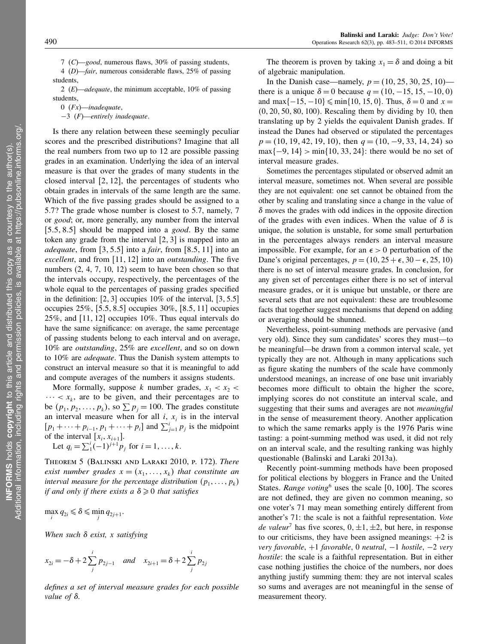7 (C)—good, numerous flaws, 30% of passing students, 4 (D)—fair, numerous considerable flaws, 25% of passing students,

2  $(E)$ —adequate, the minimum acceptable, 10% of passing students,

0  $(Fx)$ —inadequate,

−3 (F)—entirely inadequate.

Is there any relation between these seemingly peculiar scores and the prescribed distributions? Imagine that all the real numbers from two up to 12 are possible passing grades in an examination. Underlying the idea of an interval measure is that over the grades of many students in the closed interval  $[2, 12]$ , the percentages of students who obtain grades in intervals of the same length are the same. Which of the five passing grades should be assigned to a 5.7? The grade whose number is closest to 5.7, namely, 7 or good; or, more generally, any number from the interval  $[5.5, 8.5]$  should be mapped into a *good*. By the same token any grade from the interval  $[2, 3]$  is mapped into an *adequate*, from  $\left[3, 5.5\right]$  into a *fair*, from  $\left[8.5, 11\right]$  into an excellent, and from  $[11, 12]$  into an *outstanding*. The five numbers  $(2, 4, 7, 10, 12)$  seem to have been chosen so that the intervals occupy, respectively, the percentages of the whole equal to the percentages of passing grades specified in the definition:  $[2,3]$  occupies 10% of the interval,  $[3,5.5]$ occupies  $25\%$ , [5.5, 8.5] occupies  $30\%$ , [8.5, 11] occupies 25%, and  $[11, 12]$  occupies 10%. Thus equal intervals do have the same significance: on average, the same percentage of passing students belong to each interval and on average, 10% are outstanding, 25% are excellent, and so on down to 10% are *adequate*. Thus the Danish system attempts to construct an interval measure so that it is meaningful to add and compute averages of the numbers it assigns students.

More formally, suppose k number grades,  $x_1 < x_2$  $\cdots < x_k$ , are to be given, and their percentages are to be  $(p_1, p_2, \ldots, p_k)$ , so  $\sum p_j = 100$ . The grades constitute an interval measure when for all  $i$ ,  $x_i$  is in the interval  $[p_1 + \cdots + p_{i-1}, p_1 + \cdots + p_i]$  and  $\sum_{j=1}^{i} p_j$  is the midpoint of the interval  $[x_i, x_{i+1}]$ .

Let  $q_i = \sum_{i=1}^{i} (-1)^{j+1} p_j$  for  $i = 1, ..., k$ .

Theorem 5 (Balinski and Laraki 2010, p. 172). There exist number grades  $x = (x_1, \ldots, x_k)$  that constitute an interval measure for the percentage distribution  $(p_1, \ldots, p_k)$ if and only if there exists a  $\delta \geqslant 0$  that satisfies

 $\max_i q_{2i} \leq \delta \leq \min_j q_{2j+1}.$ 

When such  $\delta$  exist, x satisfying

$$
x_{2i} = -\delta + 2\sum_{j}^{i} p_{2j-1}
$$
 and  $x_{2i+1} = \delta + 2\sum_{j}^{i} p_{2j}$ 

defines a set of interval measure grades for each possible value of  $\delta$ .

The theorem is proven by taking  $x_1 = \delta$  and doing a bit of algebraic manipulation.

In the Danish case—namely,  $p = (10, 25, 30, 25, 10)$  there is a unique  $\delta = 0$  because  $q = (10, -15, 15, -10, 0)$ and max $\{-15, -10\} \leq \min\{10, 15, 0\}$ . Thus,  $\delta = 0$  and  $x =$  $(0, 20, 50, 80, 100)$ . Rescaling them by dividing by 10, then translating up by 2 yields the equivalent Danish grades. If instead the Danes had observed or stipulated the percentages  $p = (10, 19, 42, 19, 10)$ , then  $q = (10, -9, 33, 14, 24)$  so  $max{-9, 14} > min{10, 33, 24}$ : there would be no set of interval measure grades.

Sometimes the percentages stipulated or observed admit an interval measure, sometimes not. When several are possible they are not equivalent: one set cannot be obtained from the other by scaling and translating since a change in the value of  $\delta$  moves the grades with odd indices in the opposite direction of the grades with even indices. When the value of  $\delta$  is unique, the solution is unstable, for some small perturbation in the percentages always renders an interval measure impossible. For example, for an  $\epsilon > 0$  perturbation of the Dane's original percentages,  $p = (10, 25 + \epsilon, 30 - \epsilon, 25, 10)$ there is no set of interval measure grades. In conclusion, for any given set of percentages either there is no set of interval measure grades, or it is unique but unstable, or there are several sets that are not equivalent: these are troublesome facts that together suggest mechanisms that depend on adding or averaging should be shunned.

Nevertheless, point-summing methods are pervasive (and very old). Since they sum candidates' scores they must—to be meaningful—be drawn from a common interval scale, yet typically they are not. Although in many applications such as figure skating the numbers of the scale have commonly understood meanings, an increase of one base unit invariably becomes more difficult to obtain the higher the score, implying scores do not constitute an interval scale, and suggesting that their sums and averages are not *meaningful* in the sense of measurement theory. Another application to which the same remarks apply is the 1976 Paris wine tasting: a point-summing method was used, it did not rely on an interval scale, and the resulting ranking was highly questionable (Balinski and Laraki 2013a).

Recently point-summing methods have been proposed for political elections by bloggers in France and the United States. Range voting<sup>6</sup> uses the scale  $[0, 100]$ . The scores are not defined, they are given no common meaning, so one voter's 71 may mean something entirely different from another's 71: the scale is not a faithful representation. Vote de valeur<sup>7</sup> has five scores,  $0, \pm 1, \pm 2$ , but here, in response to our criticisms, they have been assigned meanings:  $+2$  is very favorable, +1 favorable, 0 neutral, −1 hostile, −2 very hostile: the scale is a faithful representation. But in either case nothing justifies the choice of the numbers, nor does anything justify summing them: they are not interval scales so sums and averages are not meaningful in the sense of measurement theory.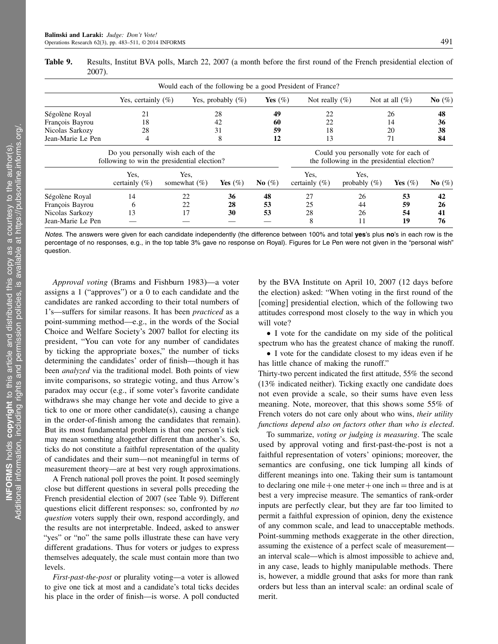|                   |                                                                                   | Would each of the following be a good President of France? |                      |            |                           |                                                                                      |                   |           |
|-------------------|-----------------------------------------------------------------------------------|------------------------------------------------------------|----------------------|------------|---------------------------|--------------------------------------------------------------------------------------|-------------------|-----------|
|                   | Yes, certainly $(\%)$                                                             |                                                            | Yes, probably $(\%)$ | Yes $(\%)$ | Not really $(\%)$         |                                                                                      | Not at all $(\%)$ | No $(\%)$ |
| Ségolène Royal    | 21                                                                                |                                                            | 28                   | 49         | 22                        |                                                                                      | 26                | 48        |
| François Bayrou   | 18                                                                                |                                                            | 42                   | 60         | 22                        |                                                                                      | 14                | 36        |
| Nicolas Sarkozy   | 59<br>28<br>31<br>18                                                              |                                                            |                      | 20         | 38                        |                                                                                      |                   |           |
| Jean-Marie Le Pen | 4                                                                                 |                                                            | 8                    |            | 13                        |                                                                                      | 71                | 84        |
|                   | Do you personally wish each of the<br>following to win the presidential election? |                                                            |                      |            |                           | Could you personally vote for each of<br>the following in the presidential election? |                   |           |
|                   | Yes.<br>certainly $(\%)$                                                          | Yes.<br>somewhat $(\%)$                                    | Yes $(\%)$           | No $(\%)$  | Yes.<br>certainly $(\% )$ | Yes,<br>probably $(\%)$                                                              | Yes $(\%)$        | No $(\%)$ |
| Ségolène Royal    | 14                                                                                | 22                                                         | 36                   | 48         | 27                        | 26                                                                                   | 53                | 42        |
| François Bayrou   | 6                                                                                 | 22                                                         | 28                   | 53         | 25                        | 44                                                                                   | 59                | 26        |
| Nicolas Sarkozy   | 13                                                                                | 17                                                         | 30                   | 53         | 28                        | 26                                                                                   | 54                | 41        |
| Jean-Marie Le Pen |                                                                                   |                                                            |                      |            | 8                         | 11                                                                                   | 19                | 76        |

Table 9. Results, Institut BVA polls, March 22, 2007 (a month before the first round of the French presidential election of 2007).

Notes. The answers were given for each candidate independently (the difference between 100% and total ves's plus no's in each row is the percentage of no responses, e.g., in the top table 3% gave no response on Royal). Figures for Le Pen were not given in the "personal wish" question.

Approval voting (Brams and Fishburn 1983)—a voter assigns a 1 ("approves") or a 0 to each candidate and the candidates are ranked according to their total numbers of 1's—suffers for similar reasons. It has been practiced as a point-summing method—e.g., in the words of the Social Choice and Welfare Society's 2007 ballot for electing its president, "You can vote for any number of candidates by ticking the appropriate boxes," the number of ticks determining the candidates' order of finish—though it has been *analyzed* via the traditional model. Both points of view invite comparisons, so strategic voting, and thus Arrow's paradox may occur (e.g., if some voter's favorite candidate withdraws she may change her vote and decide to give a tick to one or more other candidate(s), causing a change in the order-of-finish among the candidates that remain). But its most fundamental problem is that one person's tick may mean something altogether different than another's. So, ticks do not constitute a faithful representation of the quality of candidates and their sum—not meaningful in terms of measurement theory—are at best very rough approximations.

A French national poll proves the point. It posed seemingly close but different questions in several polls preceding the French presidential election of 2007 (see Table 9). Different questions elicit different responses: so, confronted by no question voters supply their own, respond accordingly, and the results are not interpretable. Indeed, asked to answer "yes" or "no" the same polls illustrate these can have very different gradations. Thus for voters or judges to express themselves adequately, the scale must contain more than two levels.

First-past-the-post or plurality voting—a voter is allowed to give one tick at most and a candidate's total ticks decides his place in the order of finish—is worse. A poll conducted by the BVA Institute on April 10, 2007 (12 days before the election) asked: "When voting in the first round of the [coming] presidential election, which of the following two attitudes correspond most closely to the way in which you will vote?

• I vote for the candidate on my side of the political spectrum who has the greatest chance of making the runoff.

• I vote for the candidate closest to my ideas even if he has little chance of making the runoff."

Thirty-two percent indicated the first attitude, 55% the second (13% indicated neither). Ticking exactly one candidate does not even provide a scale, so their sums have even less meaning. Note, moreover, that this shows some 55% of French voters do not care only about who wins, their utility functions depend also on factors other than who is elected.

To summarize, voting or judging is measuring. The scale used by approval voting and first-past-the-post is not a faithful representation of voters' opinions; moreover, the semantics are confusing, one tick lumping all kinds of different meanings into one. Taking their sum is tantamount to declaring one mile + one meter + one inch = three and is at best a very imprecise measure. The semantics of rank-order inputs are perfectly clear, but they are far too limited to permit a faithful expression of opinion, deny the existence of any common scale, and lead to unacceptable methods. Point-summing methods exaggerate in the other direction, assuming the existence of a perfect scale of measurement an interval scale—which is almost impossible to achieve and, in any case, leads to highly manipulable methods. There is, however, a middle ground that asks for more than rank orders but less than an interval scale: an ordinal scale of merit.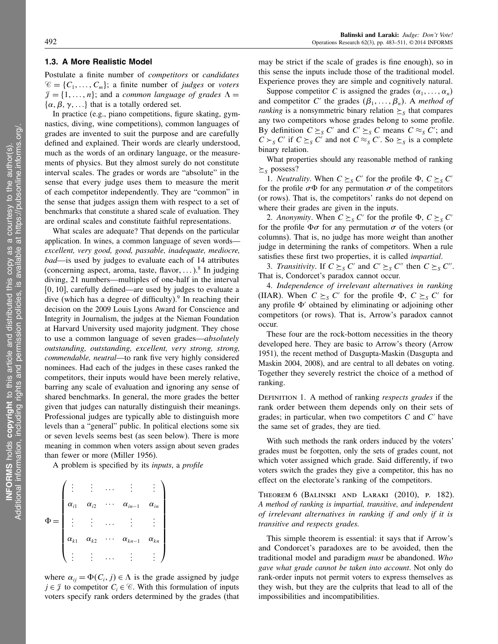### 1.3. A More Realistic Model

Postulate a finite number of *competitors* or *candidates*  $\mathscr{C} = \{C_1, \ldots, C_m\};$  a finite number of *judges* or *voters*  $\mathcal{J} = \{1, \ldots, n\}$ ; and a common language of grades  $\Lambda =$  $\{\alpha, \beta, \gamma, \ldots\}$  that is a totally ordered set.

In practice (e.g., piano competitions, figure skating, gymnastics, diving, wine competitions), common languages of grades are invented to suit the purpose and are carefully defined and explained. Their words are clearly understood, much as the words of an ordinary language, or the measurements of physics. But they almost surely do not constitute interval scales. The grades or words are "absolute" in the sense that every judge uses them to measure the merit of each competitor independently. They are "common" in the sense that judges assign them with respect to a set of benchmarks that constitute a shared scale of evaluation. They are ordinal scales and constitute faithful representations.

What scales are adequate? That depends on the particular application. In wines, a common language of seven words excellent, very good, good, passable, inadequate, mediocre, bad—is used by judges to evaluate each of 14 attributes (concerning aspect, aroma, taste, flavor, ...).<sup>8</sup> In judging diving, 21 numbers—multiples of one-half in the interval  $[0, 10]$ , carefully defined—are used by judges to evaluate a dive (which has a degree of difficulty).<sup>9</sup> In reaching their decision on the 2009 Louis Lyons Award for Conscience and Integrity in Journalism, the judges at the Nieman Foundation at Harvard University used majority judgment. They chose to use a common language of seven grades—absolutely outstanding, outstanding, excellent, very strong, strong, commendable, neutral—to rank five very highly considered nominees. Had each of the judges in these cases ranked the competitors, their inputs would have been merely relative, barring any scale of evaluation and ignoring any sense of shared benchmarks. In general, the more grades the better given that judges can naturally distinguish their meanings. Professional judges are typically able to distinguish more levels than a "general" public. In political elections some six or seven levels seems best (as seen below). There is more meaning in common when voters assign about seven grades than fewer or more (Miller 1956).

A problem is specified by its inputs, a profile

| $\alpha_{i1}$              | $\alpha_{i2}$ | $\alpha_{in-1}$ | $\alpha_{in}$ |
|----------------------------|---------------|-----------------|---------------|
| $\mathcal{L}^{\text{max}}$ |               |                 |               |
| $\alpha_{k1}$              | $\alpha_{k2}$ | $\alpha_{kn-1}$ | $\alpha_{kn}$ |
|                            |               |                 |               |

where  $\alpha_{ij} = \Phi(C_i, j) \in \Lambda$  is the grade assigned by judge  $j \in \mathcal{J}$  to competitor  $C_i \in \mathcal{C}$ . With this formulation of inputs voters specify rank orders determined by the grades (that

may be strict if the scale of grades is fine enough), so in this sense the inputs include those of the traditional model. Experience proves they are simple and cognitively natural.

Suppose competitor C is assigned the grades  $(\alpha_1, \dots, \alpha_n)$ and competitor C' the grades  $(\beta_1, \ldots, \beta_n)$ . A method of *ranking* is a nonsymmetric binary relation  $\geq$ <sub>S</sub> that compares any two competitors whose grades belong to some profile. By definition  $C \succeq_S C'$  and  $C' \succeq_S C$  means  $C \approx_S C'$ ; and  $C \succ_S C'$  if  $C \succeq_S C'$  and not  $C \approx_S C'$ . So  $\succeq_S$  is a complete binary relation.

What properties should any reasonable method of ranking  $\geq$ <sub>S</sub> possess?

1. *Neutrality*. When  $C \succeq_S C'$  for the profile  $\Phi$ ,  $C \succeq_S C'$ for the profile  $\sigma \Phi$  for any permutation  $\sigma$  of the competitors (or rows). That is, the competitors' ranks do not depend on where their grades are given in the inputs.

2. Anonymity. When  $C \succeq_S C'$  for the profile  $\Phi$ ,  $C \succeq_S C'$ for the profile  $\Phi \sigma$  for any permutation  $\sigma$  of the voters (or columns). That is, no judge has more weight than another judge in determining the ranks of competitors. When a rule satisfies these first two properties, it is called impartial.

3. Transitivity. If  $C \succeq_S C'$  and  $C' \succeq_S C''$  then  $C \succeq_S C''$ . That is, Condorcet's paradox cannot occur.

4. Independence of irrelevant alternatives in ranking (IIAR). When  $C \succeq_S C'$  for the profile  $\Phi$ ,  $C \succeq_S C'$  for any profile  $\Phi'$  obtained by eliminating or adjoining other competitors (or rows). That is, Arrow's paradox cannot occur.

These four are the rock-bottom necessities in the theory developed here. They are basic to Arrow's theory (Arrow 1951), the recent method of Dasgupta-Maskin (Dasgupta and Maskin 2004, 2008), and are central to all debates on voting. Together they severely restrict the choice of a method of ranking.

DEFINITION 1. A method of ranking *respects grades* if the rank order between them depends only on their sets of grades; in particular, when two competitors  $C$  and  $C'$  have the same set of grades, they are tied.

With such methods the rank orders induced by the voters' grades must be forgotten, only the sets of grades count, not which voter assigned which grade. Said differently, if two voters switch the grades they give a competitor, this has no effect on the electorate's ranking of the competitors.

Theorem 6 (Balinski and Laraki (2010), p. 182). A method of ranking is impartial, transitive, and independent of irrelevant alternatives in ranking if and only if it is transitive and respects grades.

This simple theorem is essential: it says that if Arrow's and Condorcet's paradoxes are to be avoided, then the traditional model and paradigm must be abandoned. Who gave what grade cannot be taken into account. Not only do rank-order inputs not permit voters to express themselves as they wish, but they are the culprits that lead to all of the impossibilities and incompatibilities.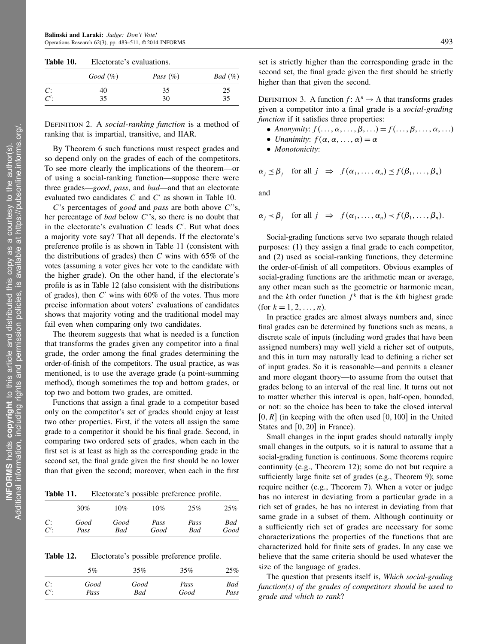| Table 10. | Electorate's evaluations. |             |            |  |  |  |  |
|-----------|---------------------------|-------------|------------|--|--|--|--|
|           | Good (%)                  | Pass $(\%)$ | $Bad (\%)$ |  |  |  |  |
| C:        | 40                        | 35          | 25         |  |  |  |  |
| C'        | 35                        | 30          | 35         |  |  |  |  |

DEFINITION 2. A *social-ranking function* is a method of ranking that is impartial, transitive, and IIAR.

By Theorem 6 such functions must respect grades and so depend only on the grades of each of the competitors. To see more clearly the implications of the theorem—or of using a social-ranking function—suppose there were three grades—good, pass, and bad—and that an electorate evaluated two candidates  $C$  and  $C'$  as shown in Table 10.

 $C$ 's percentages of good and pass are both above  $C$ 's, her percentage of *bad* below  $C$ 's, so there is no doubt that in the electorate's evaluation  $C$  leads  $C'$ . But what does a majority vote say? That all depends. If the electorate's preference profile is as shown in Table 11 (consistent with the distributions of grades) then  $C$  wins with 65% of the votes (assuming a voter gives her vote to the candidate with the higher grade). On the other hand, if the electorate's profile is as in Table 12 (also consistent with the distributions of grades), then  $C'$  wins with 60% of the votes. Thus more precise information about voters' evaluations of candidates shows that majority voting and the traditional model may fail even when comparing only two candidates.

The theorem suggests that what is needed is a function that transforms the grades given any competitor into a final grade, the order among the final grades determining the order-of-finish of the competitors. The usual practice, as was mentioned, is to use the average grade (a point-summing method), though sometimes the top and bottom grades, or top two and bottom two grades, are omitted.

Functions that assign a final grade to a competitor based only on the competitor's set of grades should enjoy at least two other properties. First, if the voters all assign the same grade to a competitor it should be his final grade. Second, in comparing two ordered sets of grades, when each in the first set is at least as high as the corresponding grade in the second set, the final grade given the first should be no lower than that given the second; moreover, when each in the first

Table 11. Electorate's possible preference profile.

|        | 30%  | 10%  | 10%  | 25%  | 25%  |
|--------|------|------|------|------|------|
| C:     | Good | Good | Pass | Pass | Bad  |
| $C'$ : | Pass | Bad  | Good | Bad  | Good |

Table 12. Electorate's possible preference profile.

|        | 5%   | 35%  | $35\%$ | 25%  |
|--------|------|------|--------|------|
| C:     | Good | Good | Pass   | Bad  |
| $C'$ : | Pass | Bad  | Good   | Pass |

set is strictly higher than the corresponding grade in the second set, the final grade given the first should be strictly higher than that given the second.

DEFINITION 3. A function  $f: \Lambda^n \to \Lambda$  that transforms grades given a competitor into a final grade is a social-grading function if it satisfies three properties:

- Anonymity:  $f(\ldots, \alpha, \ldots, \beta, \ldots) = f(\ldots, \beta, \ldots, \alpha, \ldots)$
- Unanimity:  $f(\alpha, \alpha, \ldots, \alpha) = \alpha$
- Monotonicity:

$$
\alpha_j \leq \beta_j
$$
 for all  $j \Rightarrow f(\alpha_1, ..., \alpha_n) \leq f(\beta_1, ..., \beta_n)$ 

and

$$
\alpha_j \prec \beta_j
$$
 for all  $j \Rightarrow f(\alpha_1, ..., \alpha_n) \prec f(\beta_1, ..., \beta_n)$ .

Social-grading functions serve two separate though related purposes: (1) they assign a final grade to each competitor, and (2) used as social-ranking functions, they determine the order-of-finish of all competitors. Obvious examples of social-grading functions are the arithmetic mean or average, any other mean such as the geometric or harmonic mean, and the kth order function  $f^k$  that is the kth highest grade (for  $k = 1, 2, ..., n$ ).

In practice grades are almost always numbers and, since final grades can be determined by functions such as means, a discrete scale of inputs (including word grades that have been assigned numbers) may well yield a richer set of outputs, and this in turn may naturally lead to defining a richer set of input grades. So it is reasonable—and permits a cleaner and more elegant theory—to assume from the outset that grades belong to an interval of the real line. It turns out not to matter whether this interval is open, half-open, bounded, or not: so the choice has been to take the closed interval  $[0, R]$  (in keeping with the often used  $[0, 100]$  in the United States and  $[0, 20]$  in France).

Small changes in the input grades should naturally imply small changes in the outputs, so it is natural to assume that a social-grading function is continuous. Some theorems require continuity (e.g., Theorem 12); some do not but require a sufficiently large finite set of grades (e.g., Theorem 9); some require neither (e.g., Theorem 7). When a voter or judge has no interest in deviating from a particular grade in a rich set of grades, he has no interest in deviating from that same grade in a subset of them. Although continuity or a sufficiently rich set of grades are necessary for some characterizations the properties of the functions that are characterized hold for finite sets of grades. In any case we believe that the same criteria should be used whatever the size of the language of grades.

The question that presents itself is, Which social-grading function(s) of the grades of competitors should be used to grade and which to rank?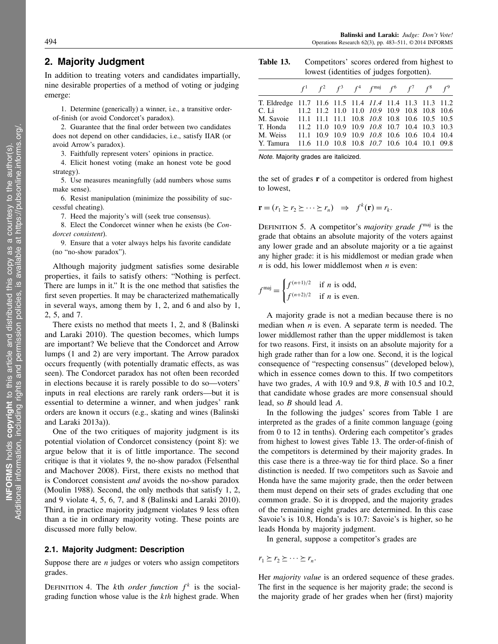# 2. Majority Judgment

In addition to treating voters and candidates impartially, nine desirable properties of a method of voting or judging emerge:

1. Determine (generically) a winner, i.e., a transitive orderof-finish (or avoid Condorcet's paradox).

2. Guarantee that the final order between two candidates does not depend on other candidacies, i.e., satisfy IIAR (or avoid Arrow's paradox).

3. Faithfully represent voters' opinions in practice.

4. Elicit honest voting (make an honest vote be good strategy).

5. Use measures meaningfully (add numbers whose sums make sense).

6. Resist manipulation (minimize the possibility of successful cheating).

7. Heed the majority's will (seek true consensus).

8. Elect the Condorcet winner when he exists (be Condorcet consistent).

9. Ensure that a voter always helps his favorite candidate (no "no-show paradox").

Although majority judgment satisfies some desirable properties, it fails to satisfy others: "Nothing is perfect. There are lumps in it." It is the one method that satisfies the first seven properties. It may be characterized mathematically in several ways, among them by 1, 2, and 6 and also by 1, 2, 5, and 7.

There exists no method that meets 1, 2, and 8 (Balinski and Laraki 2010). The question becomes, which lumps are important? We believe that the Condorcet and Arrow lumps (1 and 2) are very important. The Arrow paradox occurs frequently (with potentially dramatic effects, as was seen). The Condorcet paradox has not often been recorded in elections because it is rarely possible to do so—voters' inputs in real elections are rarely rank orders—but it is essential to determine a winner, and when judges' rank orders are known it occurs (e.g., skating and wines (Balinski and Laraki 2013a)).

One of the two critiques of majority judgment is its potential violation of Condorcet consistency (point 8): we argue below that it is of little importance. The second critique is that it violates 9, the no-show paradox (Felsenthal and Machover 2008). First, there exists no method that is Condorcet consistent and avoids the no-show paradox (Moulin 1988). Second, the only methods that satisfy 1, 2, and 9 violate 4, 5, 6, 7, and 8 (Balinski and Laraki 2010). Third, in practice majority judgment violates 9 less often than a tie in ordinary majority voting. These points are discussed more fully below.

### 2.1. Majority Judgment: Description

Suppose there are  $n$  judges or voters who assign competitors grades.

DEFINITION 4. The kth order function  $f^k$  is the socialgrading function whose value is the  $kth$  highest grade. When

Table 13. Competitors' scores ordered from highest to lowest (identities of judges forgotten).

|                                                                 |  |  | $f^1$ $f^2$ $f^3$ $f^4$ $f^{\text{maj}}$ $f^6$ $f^7$ $f^8$ $f^9$ |  |  |
|-----------------------------------------------------------------|--|--|------------------------------------------------------------------|--|--|
| T. Eldredge 11.7 11.6 11.5 11.4 <i>11.4</i> 11.4 11.3 11.3 11.2 |  |  |                                                                  |  |  |
| C. Li 11.2 11.2 11.0 11.0 10.9 10.9 10.8 10.8 10.6              |  |  |                                                                  |  |  |
| M. Savoie 11.1 11.1 11.1 10.8 10.8 10.8 10.6 10.5 10.5          |  |  |                                                                  |  |  |
| T. Honda 11.2 11.0 10.9 10.9 10.8 10.7 10.4 10.3 10.3           |  |  |                                                                  |  |  |
| M. Weiss 11.1 10.9 10.9 10.9 10.8 10.6 10.6 10.4 10.4           |  |  |                                                                  |  |  |
| Y. Tamura 11.6 11.0 10.8 10.8 10.7 10.6 10.4 10.1 09.8          |  |  |                                                                  |  |  |

Note. Majority grades are italicized.

the set of grades  $\bf{r}$  of a competitor is ordered from highest to lowest,

$$
\mathbf{r} = (r_1 \ge r_2 \ge \cdots \ge r_n) \Rightarrow f^k(\mathbf{r}) = r_k.
$$

DEFINITION 5. A competitor's *majority grade*  $f^{maj}$  is the grade that obtains an absolute majority of the voters against any lower grade and an absolute majority or a tie against any higher grade: it is his middlemost or median grade when  $n$  is odd, his lower middlemost when  $n$  is even:

$$
f^{\text{maj}} = \begin{cases} f^{(n+1)/2} & \text{if } n \text{ is odd,} \\ f^{(n+2)/2} & \text{if } n \text{ is even.} \end{cases}
$$

A majority grade is not a median because there is no median when  $n$  is even. A separate term is needed. The lower middlemost rather than the upper middlemost is taken for two reasons. First, it insists on an absolute majority for a high grade rather than for a low one. Second, it is the logical consequence of "respecting consensus" (developed below), which in essence comes down to this. If two competitors have two grades, A with 10.9 and 9.8, B with 10.5 and 10.2, that candidate whose grades are more consensual should lead, so B should lead A.

In the following the judges' scores from Table 1 are interpreted as the grades of a finite common language (going from 0 to 12 in tenths). Ordering each competitor's grades from highest to lowest gives Table 13. The order-of-finish of the competitors is determined by their majority grades. In this case there is a three-way tie for third place. So a finer distinction is needed. If two competitors such as Savoie and Honda have the same majority grade, then the order between them must depend on their sets of grades excluding that one common grade. So it is dropped, and the majority grades of the remaining eight grades are determined. In this case Savoie's is 10.8, Honda's is 10.7: Savoie's is higher, so he leads Honda by majority judgment.

In general, suppose a competitor's grades are

 $r_1 \succeq r_2 \succeq \cdots \succeq r_n.$ 

Her *majority value* is an ordered sequence of these grades. The first in the sequence is her majority grade; the second is the majority grade of her grades when her (first) majority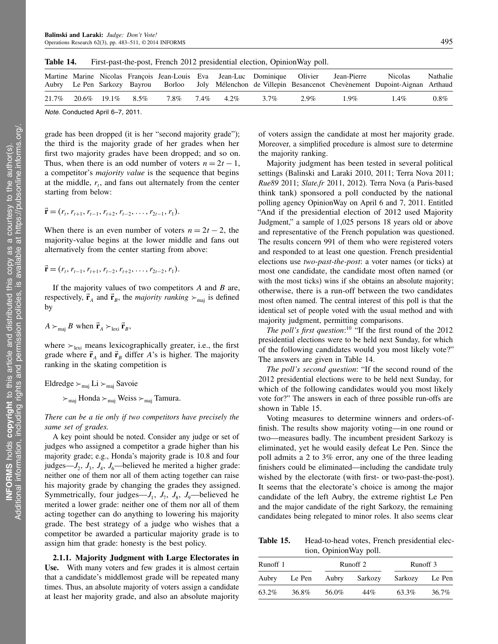|       |                     |      |                 |      |         | Martine Marine Nicolas Francois Jean-Louis Eva Jean-Luc Dominique Olivier Jean-Pierre | Nicolas<br>Aubry Le Pen Sarkozy Bayrou Borloo Joly Mélenchon de Villepin Besancenot Chevènement Dupoint-Aignan Arthaud | Nathalie |
|-------|---------------------|------|-----------------|------|---------|---------------------------------------------------------------------------------------|------------------------------------------------------------------------------------------------------------------------|----------|
| 21.7% | 20.6\% 19.1\% 8.5\% | 7.8% | $7.4\%$ $4.2\%$ | 3.7% | $2.9\%$ | $1.9\%$                                                                               | $1.4\%$                                                                                                                | $0.8\%$  |

Table 14. First-past-the-post, French 2012 presidential election, OpinionWay poll.

Note. Conducted April 6–7, 2011.

grade has been dropped (it is her "second majority grade"); the third is the majority grade of her grades when her first two majority grades have been dropped; and so on. Thus, when there is an odd number of voters  $n = 2t - 1$ , a competitor's majority value is the sequence that begins at the middle,  $r_t$ , and fans out alternately from the center starting from below:

$$
\vec{\mathbf{r}} = (r_t, r_{t+1}, r_{t-1}, r_{t+2}, r_{t-2}, \dots, r_{2t-1}, r_1).
$$

When there is an even number of voters  $n = 2t - 2$ , the majority-value begins at the lower middle and fans out alternatively from the center starting from above:

$$
\vec{\mathbf{r}} = (r_t, r_{t-1}, r_{t+1}, r_{t-2}, r_{t+2}, \dots, r_{2t-2}, r_1).
$$

If the majority values of two competitors  $A$  and  $B$  are, respectively,  $\vec{r}_A$  and  $\vec{r}_B$ , the *majority ranking*  $\succ_{\text{maj}}$  is defined by

$$
A \succ_{\text{maj}} B \text{ when } \vec{r}_A \succ_{\text{lexi}} \vec{r}_B,
$$

where  $\succ_{\text{lexi}}$  means lexicographically greater, i.e., the first grade where  $\vec{r}_A$  and  $\vec{r}_B$  differ A's is higher. The majority ranking in the skating competition is

Eldredge  $\succ_{\text{maj}}$  Li  $\succ_{\text{maj}}$  Savoie

 $\succ_{\text{maj}}$  Honda  $\succ_{\text{maj}}$  Weiss  $\succ_{\text{maj}}$  Tamura.

There can be a tie only if two competitors have precisely the same set of grades.

A key point should be noted. Consider any judge or set of judges who assigned a competitor a grade higher than his majority grade; e.g., Honda's majority grade is 10.8 and four judges— $J_2$ ,  $J_3$ ,  $J_4$ ,  $J_6$ —believed he merited a higher grade: neither one of them nor all of them acting together can raise his majority grade by changing the grades they assigned. Symmetrically, four judges— $J_1$ ,  $J_7$ ,  $J_8$ ,  $J_9$ —believed he merited a lower grade: neither one of them nor all of them acting together can do anything to lowering his majority grade. The best strategy of a judge who wishes that a competitor be awarded a particular majority grade is to assign him that grade: honesty is the best policy.

2.1.1. Majority Judgment with Large Electorates in Use. With many voters and few grades it is almost certain that a candidate's middlemost grade will be repeated many times. Thus, an absolute majority of voters assign a candidate at least her majority grade, and also an absolute majority

of voters assign the candidate at most her majority grade. Moreover, a simplified procedure is almost sure to determine the majority ranking.

Majority judgment has been tested in several political settings (Balinski and Laraki 2010, 2011; Terra Nova 2011; Rue89 2011; Slate.fr 2011, 2012). Terra Nova (a Paris-based think tank) sponsored a poll conducted by the national polling agency OpinionWay on April 6 and 7, 2011. Entitled "And if the presidential election of 2012 used Majority Judgment," a sample of 1,025 persons 18 years old or above and representative of the French population was questioned. The results concern 991 of them who were registered voters and responded to at least one question. French presidential elections use two-past-the-post: a voter names (or ticks) at most one candidate, the candidate most often named (or with the most ticks) wins if she obtains an absolute majority; otherwise, there is a run-off between the two candidates most often named. The central interest of this poll is that the identical set of people voted with the usual method and with majority judgment, permitting comparisons.

The poll's first question:<sup>10</sup> "If the first round of the 2012 presidential elections were to be held next Sunday, for which of the following candidates would you most likely vote?" The answers are given in Table 14.

The poll's second question: "If the second round of the 2012 presidential elections were to be held next Sunday, for which of the following candidates would you most likely vote for?" The answers in each of three possible run-offs are shown in Table 15.

Voting measures to determine winners and orders-offinish. The results show majority voting—in one round or two—measures badly. The incumbent president Sarkozy is eliminated, yet he would easily defeat Le Pen. Since the poll admits a 2 to 3% error, any one of the three leading finishers could be eliminated—including the candidate truly wished by the electorate (with first- or two-past-the-post). It seems that the electorate's choice is among the major candidate of the left Aubry, the extreme rightist Le Pen and the major candidate of the right Sarkozy, the remaining candidates being relegated to minor roles. It also seems clear

Table 15. Head-to-head votes, French presidential election, OpinionWay poll.

| Runoff 1 |        |       | Runoff 2 | Runoff 3 |        |
|----------|--------|-------|----------|----------|--------|
| Aubry    | Le Pen | Aubry | Sarkozy  | Sarkozy  | Le Pen |
| 63.2%    | 36.8%  | 56.0% | 44%      | 63.3%    | 36.7%  |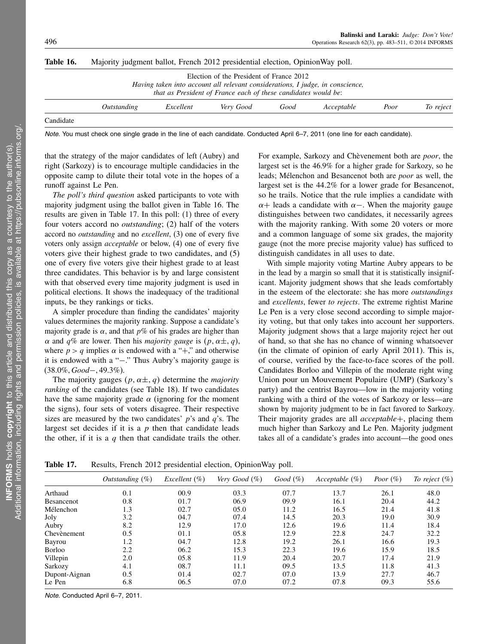| Table 16. | Majority judgment ballot, French 2012 presidential election, OpinionWay poll. |           |                                                                                                                                                                                              |      |            |      |           |
|-----------|-------------------------------------------------------------------------------|-----------|----------------------------------------------------------------------------------------------------------------------------------------------------------------------------------------------|------|------------|------|-----------|
|           |                                                                               |           | Election of the President of France 2012<br>Having taken into account all relevant considerations, I judge, in conscience,<br>that as President of France each of these candidates would be: |      |            |      |           |
|           | <i>Outstanding</i>                                                            | Excellent | Very Good                                                                                                                                                                                    | Good | Acceptable | Poor | To reject |
| Candidate |                                                                               |           |                                                                                                                                                                                              |      |            |      |           |

Note. You must check one single grade in the line of each candidate. Conducted April 6–7, 2011 (one line for each candidate).

that the strategy of the major candidates of left (Aubry) and right (Sarkozy) is to encourage multiple candidacies in the opposite camp to dilute their total vote in the hopes of a runoff against Le Pen.

The poll's third question asked participants to vote with majority judgment using the ballot given in Table 16. The results are given in Table 17. In this poll: (1) three of every four voters accord no outstanding; (2) half of the voters accord no outstanding and no excellent, (3) one of every five voters only assign acceptable or below, (4) one of every five voters give their highest grade to two candidates, and (5) one of every five voters give their highest grade to at least three candidates. This behavior is by and large consistent with that observed every time majority judgment is used in political elections. It shows the inadequacy of the traditional inputs, be they rankings or ticks.

A simpler procedure than finding the candidates' majority values determines the majority ranking. Suppose a candidate's majority grade is  $\alpha$ , and that  $p\%$  of his grades are higher than  $\alpha$  and  $q\%$  are lower. Then his *majority gauge* is  $(p, \alpha \pm, q)$ , where  $p > q$  implies  $\alpha$  is endowed with a "+," and otherwise it is endowed with a "−." Thus Aubry's majority gauge is (38.0%, Good−, 49.3%).

The majority gauges  $(p, \alpha \pm, q)$  determine the *majority* ranking of the candidates (see Table 18). If two candidates have the same majority grade  $\alpha$  (ignoring for the moment the signs), four sets of voters disagree. Their respective sizes are measured by the two candidates'  $p$ 's and  $q$ 's. The largest set decides if it is a  $p$  then that candidate leads the other, if it is a  $q$  then that candidate trails the other. For example, Sarkozy and Chèvenement both are poor, the largest set is the 46.9% for a higher grade for Sarkozy, so he leads; Mélenchon and Besancenot both are poor as well, the largest set is the 44.2% for a lower grade for Besancenot, so he trails. Notice that the rule implies a candidate with  $\alpha$ + leads a candidate with  $\alpha$  –. When the majority gauge distinguishes between two candidates, it necessarily agrees with the majority ranking. With some 20 voters or more and a common language of some six grades, the majority gauge (not the more precise majority value) has sufficed to distinguish candidates in all uses to date.

With simple majority voting Martine Aubry appears to be in the lead by a margin so small that it is statistically insignificant. Majority judgment shows that she leads comfortably in the esteem of the electorate: she has more outstandings and *excellents*, fewer to rejects. The extreme rightist Marine Le Pen is a very close second according to simple majority voting, but that only takes into account her supporters. Majority judgment shows that a large majority reject her out of hand, so that she has no chance of winning whatsoever (in the climate of opinion of early April 2011). This is, of course, verified by the face-to-face scores of the poll. Candidates Borloo and Villepin of the moderate right wing Union pour un Mouvement Populaire (UMP) (Sarkozy's party) and the centrist Bayrou—low in the majority voting ranking with a third of the votes of Sarkozy or less—are shown by majority judgment to be in fact favored to Sarkozy. Their majority grades are all *acceptable*+, placing them much higher than Sarkozy and Le Pen. Majority judgment takes all of a candidate's grades into account—the good ones

Table 17. Results, French 2012 presidential election, OpinionWay poll.

|               | Outstanding (%) | Excellent $(\%)$ | Very Good $(\%)$ | Good (%) | Acceptable $(\%)$ | Poor $(\%)$ | To reject $(\%)$ |
|---------------|-----------------|------------------|------------------|----------|-------------------|-------------|------------------|
| Arthaud       | 0.1             | 00.9             | 03.3             | 07.7     | 13.7              | 26.1        | 48.0             |
| Besancenot    | 0.8             | 01.7             | 06.9             | 09.9     | 16.1              | 20.4        | 44.2             |
| Mélenchon     | 1.3             | 02.7             | 05.0             | 11.2     | 16.5              | 21.4        | 41.8             |
| Joly          | 3.2             | 04.7             | 07.4             | 14.5     | 20.3              | 19.0        | 30.9             |
| Aubry         | 8.2             | 12.9             | 17.0             | 12.6     | 19.6              | 11.4        | 18.4             |
| Chevènement   | 0.5             | 01.1             | 05.8             | 12.9     | 22.8              | 24.7        | 32.2             |
| Bayrou        | 1.2             | 04.7             | 12.8             | 19.2     | 26.1              | 16.6        | 19.3             |
| Borloo        | 2.2             | 06.2             | 15.3             | 22.3     | 19.6              | 15.9        | 18.5             |
| Villepin      | 2.0             | 05.8             | 11.9             | 20.4     | 20.7              | 17.4        | 21.9             |
| Sarkozy       | 4.1             | 08.7             | 11.1             | 09.5     | 13.5              | 11.8        | 41.3             |
| Dupont-Aignan | 0.5             | 01.4             | 02.7             | 07.0     | 13.9              | 27.7        | 46.7             |
| Le Pen        | 6.8             | 06.5             | 07.0             | 07.2     | 07.8              | 09.3        | 55.6             |

Note. Conducted April 6–7, 2011.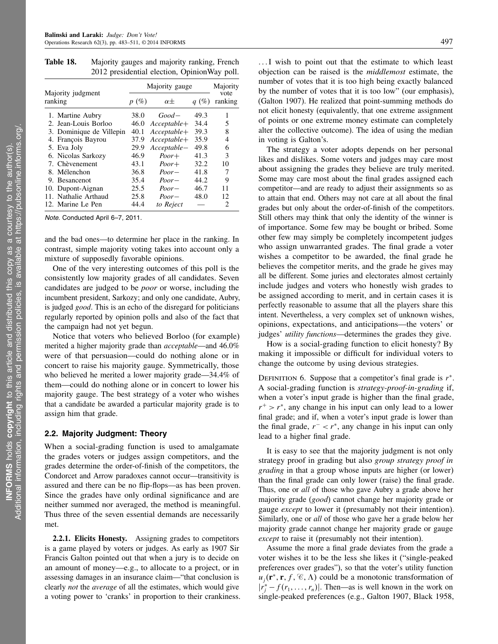Table 18. Majority gauges and majority ranking, French 2012 presidential election, OpinionWay poll.

|                              |         | Majority gauge |         |                 |  |  |  |
|------------------------------|---------|----------------|---------|-----------------|--|--|--|
| Majority judgment<br>ranking | $p(\%)$ | $\alpha$ $\pm$ | $q(\%)$ | vote<br>ranking |  |  |  |
| 1. Martine Aubry             | 38.0    | $Good-$        | 49.3    | 1               |  |  |  |
| 2. Jean-Louis Borloo         | 46.0    | $Acceptable+$  | 34.4    | 5               |  |  |  |
| 3. Dominique de Villepin     | 40.1    | $Acceptable+$  | 39.3    | 8               |  |  |  |
| 4. François Bayrou           | 37.9    | $Acceptable+$  | 35.9    | 4               |  |  |  |
| 5. Eva Joly                  | 29.9    | $Acceptable-$  | 49.8    | 6               |  |  |  |
| 6. Nicolas Sarkozy           | 46.9    | $Poor+$        | 41.3    | 3               |  |  |  |
| 7. Chèvenement               | 43.1    | $Poor+$        | 32.2    | 10              |  |  |  |
| 8. Mélenchon                 | 36.8    | $Poor-$        | 41.8    | 7               |  |  |  |
| 9. Besancenot                | 35.4    | $Poor-$        | 44.2    | 9               |  |  |  |
| 10. Dupont-Aignan            | 25.5    | $Poor-$        | 46.7    | 11              |  |  |  |
| 11. Nathalie Arthaud         | 25.8    | $Poor-$        | 48.0    | 12              |  |  |  |
| 12. Marine Le Pen            | 44.4    | to Reject      |         | 2               |  |  |  |

Note. Conducted April 6–7, 2011.

and the bad ones—to determine her place in the ranking. In contrast, simple majority voting takes into account only a mixture of supposedly favorable opinions.

One of the very interesting outcomes of this poll is the consistently low majority grades of all candidates. Seven candidates are judged to be poor or worse, including the incumbent president, Sarkozy; and only one candidate, Aubry, is judged good. This is an echo of the disregard for politicians regularly reported by opinion polls and also of the fact that the campaign had not yet begun.

Notice that voters who believed Borloo (for example) merited a higher majority grade than acceptable—and 46.0% were of that persuasion—could do nothing alone or in concert to raise his majority gauge. Symmetrically, those who believed he merited a lower majority grade—34.4% of them—could do nothing alone or in concert to lower his majority gauge. The best strategy of a voter who wishes that a candidate be awarded a particular majority grade is to assign him that grade.

### 2.2. Majority Judgment: Theory

When a social-grading function is used to amalgamate the grades voters or judges assign competitors, and the grades determine the order-of-finish of the competitors, the Condorcet and Arrow paradoxes cannot occur—transitivity is assured and there can be no flip-flops—as has been proven. Since the grades have only ordinal significance and are neither summed nor averaged, the method is meaningful. Thus three of the seven essential demands are necessarily met.

2.2.1. Elicits Honesty. Assigning grades to competitors is a game played by voters or judges. As early as 1907 Sir Francis Galton pointed out that when a jury is to decide on an amount of money—e.g., to allocate to a project, or in assessing damages in an insurance claim—"that conclusion is clearly not the average of all the estimates, which would give a voting power to 'cranks' in proportion to their crankiness.

...I wish to point out that the estimate to which least objection can be raised is the middlemost estimate, the number of votes that it is too high being exactly balanced by the number of votes that it is too low" (our emphasis), (Galton 1907). He realized that point-summing methods do not elicit honesty (equivalently, that one extreme assignment of points or one extreme money estimate can completely alter the collective outcome). The idea of using the median in voting is Galton's.

The strategy a voter adopts depends on her personal likes and dislikes. Some voters and judges may care most about assigning the grades they believe are truly merited. Some may care most about the final grades assigned each competitor—and are ready to adjust their assignments so as to attain that end. Others may not care at all about the final grades but only about the order-of-finish of the competitors. Still others may think that only the identity of the winner is of importance. Some few may be bought or bribed. Some other few may simply be completely incompetent judges who assign unwarranted grades. The final grade a voter wishes a competitor to be awarded, the final grade he believes the competitor merits, and the grade he gives may all be different. Some juries and electorates almost certainly include judges and voters who honestly wish grades to be assigned according to merit, and in certain cases it is perfectly reasonable to assume that all the players share this intent. Nevertheless, a very complex set of unknown wishes, opinions, expectations, and anticipations—the voters' or judges' utility functions—determines the grades they give.

How is a social-grading function to elicit honesty? By making it impossible or difficult for individual voters to change the outcome by using devious strategies.

DEFINITION 6. Suppose that a competitor's final grade is  $r^*$ . A social-grading function is strategy-proof-in-grading if, when a voter's input grade is higher than the final grade,  $r^+ > r^*$ , any change in his input can only lead to a lower final grade; and if, when a voter's input grade is lower than the final grade,  $r^- < r^*$ , any change in his input can only lead to a higher final grade.

It is easy to see that the majority judgment is not only strategy proof in grading but also group strategy proof in grading in that a group whose inputs are higher (or lower) than the final grade can only lower (raise) the final grade. Thus, one or all of those who gave Aubry a grade above her majority grade (good) cannot change her majority grade or gauge except to lower it (presumably not their intention). Similarly, one or all of those who gave her a grade below her majority grade cannot change her majority grade or gauge except to raise it (presumably not their intention).

Assume the more a final grade deviates from the grade a voter wishes it to be the less she likes it ("single-peaked preferences over grades"), so that the voter's utility function  $u_j(\mathbf{r}^*, \mathbf{r}, f, \mathcal{C}, \Lambda)$  could be a monotonic transformation of  $|\dot{r}_j^* - f(r_1, \ldots, r_n)|$ . Then—as is well known in the work on single-peaked preferences (e.g., Galton 1907, Black 1958,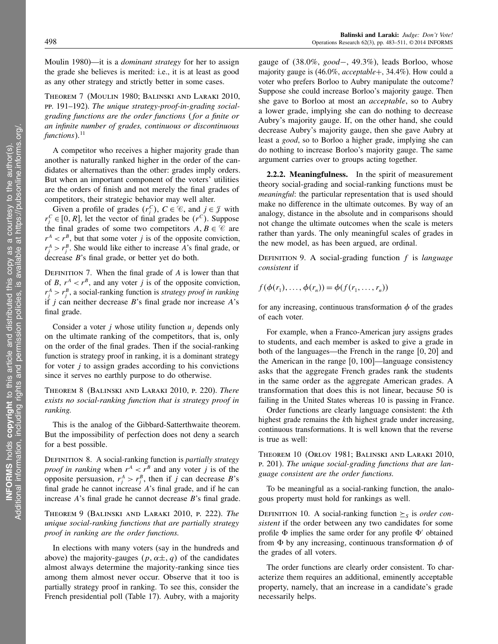Moulin 1980)—it is a *dominant strategy* for her to assign the grade she believes is merited: i.e., it is at least as good as any other strategy and strictly better in some cases.

Theorem 7 (Moulin 1980; Balinski and Laraki 2010, pp. 191–192). The unique strategy-proof-in-grading socialgrading functions are the order functions ( for a finite or an infinite number of grades, continuous or discontinuous functions). $^{11}$ 

A competitor who receives a higher majority grade than another is naturally ranked higher in the order of the candidates or alternatives than the other: grades imply orders. But when an important component of the voters' utilities are the orders of finish and not merely the final grades of competitors, their strategic behavior may well alter.

Given a profile of grades  $(r_j^C)$ ,  $C \in \mathcal{C}$ , and  $j \in \mathcal{J}$  with  $r_j^C \in [0, R]$ , let the vector of final grades be  $(r^C)$ . Suppose the final grades of some two competitors  $A, B \in \mathcal{C}$  are  $r^A < r^B$ , but that some voter j is of the opposite conviction,  $r_j^A > r_j^B$ . She would like either to increase A's final grade, or decrease B's final grade, or better yet do both.

DEFINITION 7. When the final grade of  $A$  is lower than that of B,  $r^A < r^B$ , and any voter j is of the opposite conviction,  $r_j^A > r_j^B$ , a social-ranking function is *strategy proof in ranking* if  $j$  can neither decrease  $B$ 's final grade nor increase  $A$ 's final grade.

Consider a voter j whose utility function  $u_i$  depends only on the ultimate ranking of the competitors, that is, only on the order of the final grades. Then if the social-ranking function is strategy proof in ranking, it is a dominant strategy for voter  $j$  to assign grades according to his convictions since it serves no earthly purpose to do otherwise.

Theorem 8 (Balinski and Laraki 2010, p. 220). There exists no social-ranking function that is strategy proof in ranking.

This is the analog of the Gibbard-Satterthwaite theorem. But the impossibility of perfection does not deny a search for a best possible.

DEFINITION 8. A social-ranking function is *partially strategy proof in ranking* when  $r^A < r^B$  and any voter *j* is of the opposite persuasion,  $r_j^A > r_j^B$ , then if j can decrease B's final grade he cannot increase A's final grade, and if he can increase A's final grade he cannot decrease B's final grade.

Theorem 9 (Balinski and Laraki 2010, p. 222). The unique social-ranking functions that are partially strategy proof in ranking are the order functions.

In elections with many voters (say in the hundreds and above) the majority-gauges  $(p, \alpha \pm, q)$  of the candidates almost always determine the majority-ranking since ties among them almost never occur. Observe that it too is partially strategy proof in ranking. To see this, consider the French presidential poll (Table 17). Aubry, with a majority gauge of  $(38.0\%, good-, 49.3\%)$ , leads Borloo, whose majority gauge is (46.0%, acceptable+, 34.4%). How could a voter who prefers Borloo to Aubry manipulate the outcome? Suppose she could increase Borloo's majority gauge. Then she gave to Borloo at most an *acceptable*, so to Aubry a lower grade, implying she can do nothing to decrease Aubry's majority gauge. If, on the other hand, she could decrease Aubry's majority gauge, then she gave Aubry at least a good, so to Borloo a higher grade, implying she can do nothing to increase Borloo's majority gauge. The same argument carries over to groups acting together.

2.2.2. Meaningfulness. In the spirit of measurement theory social-grading and social-ranking functions must be *meaningful*: the particular representation that is used should make no difference in the ultimate outcomes. By way of an analogy, distance in the absolute and in comparisons should not change the ultimate outcomes when the scale is meters rather than yards. The only meaningful scales of grades in the new model, as has been argued, are ordinal.

DEFINITION 9. A social-grading function  $f$  is *language* consistent if

$$
f(\phi(r_1),\ldots,\phi(r_n))=\phi(f(r_1,\ldots,r_n))
$$

for any increasing, continuous transformation  $\phi$  of the grades of each voter.

For example, when a Franco-American jury assigns grades to students, and each member is asked to give a grade in both of the languages—the French in the range  $[0, 20]$  and the American in the range  $[0, 100]$ —language consistency asks that the aggregate French grades rank the students in the same order as the aggregate American grades. A transformation that does this is not linear, because 50 is failing in the United States whereas 10 is passing in France.

Order functions are clearly language consistent: the kth highest grade remains the *k*th highest grade under increasing, continuous transformations. It is well known that the reverse is true as well:

Theorem 10 (Orlov 1981; Balinski and Laraki 2010, p. 201). The unique social-grading functions that are language consistent are the order functions.

To be meaningful as a social-ranking function, the analogous property must hold for rankings as well.

DEFINITION 10. A social-ranking function  $\geq_s$  is order consistent if the order between any two candidates for some profile  $\Phi$  implies the same order for any profile  $\Phi'$  obtained from  $\Phi$  by any increasing, continuous transformation  $\phi$  of the grades of all voters.

The order functions are clearly order consistent. To characterize them requires an additional, eminently acceptable property, namely, that an increase in a candidate's grade necessarily helps.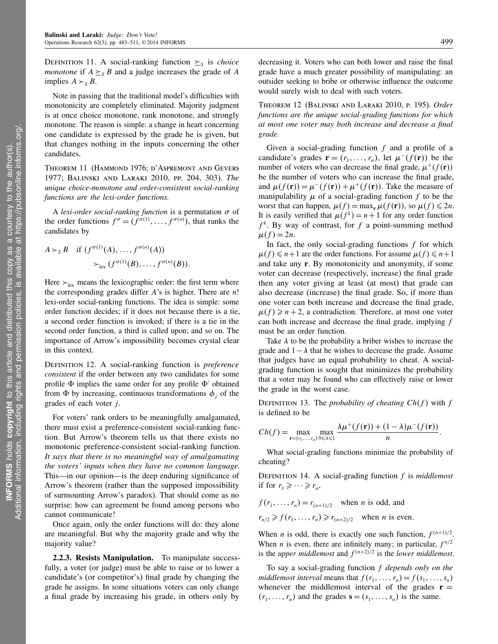DEFINITION 11. A social-ranking function  $\geq$ <sub>S</sub> is *choice monotone* if  $A \succeq_{S} B$  and a judge increases the grade of A implies  $A \succ_{S} B$ .

Note in passing that the traditional model's difficulties with monotonicity are completely eliminated. Majority judgment is at once choice monotone, rank monotone, and strongly monotone. The reason is simple: a change in heart concerning one candidate is expressed by the grade he is given, but that changes nothing in the inputs concerning the other candidates.

Theorem 11 (Hammond 1976; d'Aspremont and Gevers 1977; Balinski and Laraki 2010, pp. 204, 303). The unique choice-monotone and order-consistent social-ranking functions are the lexi-order functions.

A lexi-order social-ranking function is a permutation  $\sigma$  of the order functions  $f^{\sigma} = (f^{\sigma(1)}, \dots, f^{\sigma(n)})$ , that ranks the candidates by

$$
A \succ_{S} B \quad \text{if } (f^{\sigma(1)}(A), \ldots, f^{\sigma(n)}(A))
$$

$$
\succ_{\text{lex}} (f^{\sigma(1)}(B), \ldots, f^{\sigma(n)}(B)).
$$

Here  $\succ_{\text{lex}}$  means the lexicographic order: the first term where the corresponding grades differ  $A$ 's is higher. There are  $n!$ lexi-order social-ranking functions. The idea is simple: some order function decides; if it does not because there is a tie, a second order function is invoked; if there is a tie in the second order function, a third is called upon; and so on. The importance of Arrow's impossibility becomes crystal clear in this context.

DEFINITION 12. A social-ranking function is *preference* consistent if the order between any two candidates for some profile  $\Phi$  implies the same order for any profile  $\Phi'$  obtained from  $\Phi$  by increasing, continuous transformations  $\phi_i$  of the grades of each voter j.

For voters' rank orders to be meaningfully amalgamated, there must exist a preference-consistent social-ranking function. But Arrow's theorem tells us that there exists no monotonic preference-consistent social-ranking function. It says that there is no meaningful way of amalgamating the voters' inputs when they have no common language. This—in our opinion—is the deep enduring significance of Arrow's theorem (rather than the supposed impossibility of surmounting Arrow's paradox). That should come as no surprise: how can agreement be found among persons who cannot communicate!

Once again, only the order functions will do: they alone are meaningful. But why the majority grade and why the majority value?

2.2.3. Resists Manipulation. To manipulate successfully, a voter (or judge) must be able to raise or to lower a candidate's (or competitor's) final grade by changing the grade he assigns. In some situations voters can only change a final grade by increasing his grade, in others only by

decreasing it. Voters who can both lower and raise the final grade have a much greater possibility of manipulating: an outsider seeking to bribe or otherwise influence the outcome would surely wish to deal with such voters.

Theorem 12 (Balinski and Laraki 2010, p. 195). Order functions are the unique social-grading functions for which at most one voter may both increase and decrease a final grade.

Given a social-grading function  $f$  and a profile of a candidate's grades  $\mathbf{r} = (r_1, \dots, r_n)$ , let  $\mu^{-}(f(\mathbf{r}))$  be the number of voters who can decrease the final grade,  $\mu^+(f(\mathbf{r}))$ be the number of voters who can increase the final grade, and  $\mu(f(\mathbf{r})) = \mu^-(f(\mathbf{r})) + \mu^+(f(\mathbf{r}))$ . Take the measure of manipulability  $\mu$  of a social-grading function f to be the worst that can happen,  $\mu(f) = \max_{\mathbf{r}} \mu(f(\mathbf{r}))$ , so  $\mu(f) \leq 2n$ . It is easily verified that  $\mu(f^k) = n + 1$  for any order function  $f^k$ . By way of contrast, for f a point-summing method  $\mu(f) = 2n$ .

In fact, the only social-grading functions  $f$  for which  $\mu(f) \leq n+1$  are the order functions. For assume  $\mu(f) \leq n+1$ and take any r. By monotonicity and anonymity, if some voter can decrease (respectively, increase) the final grade then any voter giving at least (at most) that grade can also decrease (increase) the final grade. So, if more than one voter can both increase and decrease the final grade,  $\mu(f) \geq n + 2$ , a contradiction. Therefore, at most one voter can both increase and decrease the final grade, implying  $f$ must be an order function.

Take  $\lambda$  to be the probability a briber wishes to increase the grade and  $1 - \lambda$  that he wishes to decrease the grade. Assume that judges have an equal probability to cheat. A socialgrading function is sought that minimizes the probability that a voter may be found who can effectively raise or lower the grade in the worst case.

DEFINITION 13. The *probability of cheating Ch(f)* with f is defined to be

$$
Ch(f) = \max_{\mathbf{r}=(r_1,\ldots,r_n)} \max_{0\leq \lambda \leq 1} \frac{\lambda \mu^+(f(\mathbf{r})) + (1-\lambda)\mu^-(f(\mathbf{r}))}{n}.
$$

What social-grading functions minimize the probability of cheating?

DEFINITION 14. A social-grading function  $f$  is *middlemost* if for  $r_1 \geqslant \cdots \geqslant r_n$ ,

$$
f(r_1, \ldots, r_n) = r_{(n+1)/2}
$$
 when *n* is odd, and  

$$
r_{n/2} \ge f(r_1, \ldots, r_n) \ge r_{(n+2)/2}
$$
 when *n* is even.

When *n* is odd, there is exactly one such function,  $f^{(n+1)/2}$ . When *n* is even, there are infinitely many; in particular,  $f^{n/2}$ is the *upper middlemost* and  $f^{(n+2)/2}$  is the *lower middlemost*.

To say a social-grading function  $f$  depends only on the middlemost interval means that  $f(r_1, \ldots, r_n) = f(s_1, \ldots, s_n)$ whenever the middlemost interval of the grades  $\mathbf{r} =$  $(r_1, \ldots, r_n)$  and the grades  $\mathbf{s} = (s_1, \ldots, s_n)$  is the same.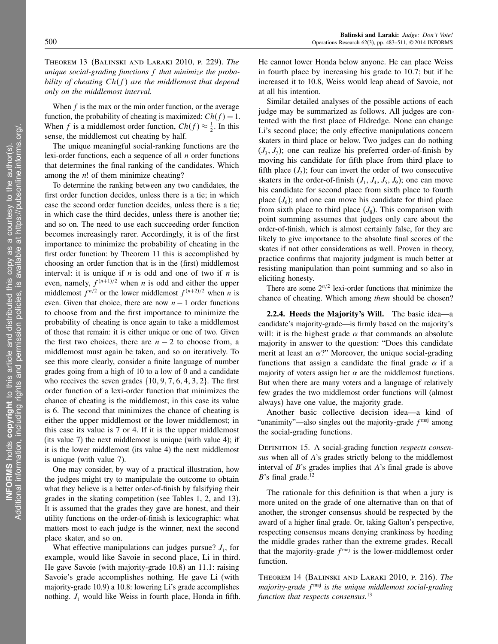Theorem 13 (Balinski and Laraki 2010, p. 229). The unique social-grading functions f that minimize the probability of cheating  $Ch(f)$  are the middlemost that depend only on the middlemost interval.

When  $f$  is the max or the min order function, or the average function, the probability of cheating is maximized:  $Ch(f) = 1$ . When f is a middlemost order function,  $Ch(f) \approx \frac{1}{2}$ . In this sense, the middlemost cut cheating by half.

The unique meaningful social-ranking functions are the lexi-order functions, each a sequence of all  $n$  order functions that determines the final ranking of the candidates. Which among the  $n!$  of them minimize cheating?

To determine the ranking between any two candidates, the first order function decides, unless there is a tie; in which case the second order function decides, unless there is a tie; in which case the third decides, unless there is another tie; and so on. The need to use each succeeding order function becomes increasingly rarer. Accordingly, it is of the first importance to minimize the probability of cheating in the first order function: by Theorem 11 this is accomplished by choosing an order function that is in the (first) middlemost interval: it is unique if  $n$  is odd and one of two if  $n$  is even, namely,  $f^{(n+1)/2}$  when *n* is odd and either the upper middlemost  $f^{n/2}$  or the lower middlemost  $f^{(n+2)/2}$  when *n* is even. Given that choice, there are now  $n - 1$  order functions to choose from and the first importance to minimize the probability of cheating is once again to take a middlemost of those that remain: it is either unique or one of two. Given the first two choices, there are  $n - 2$  to choose from, a middlemost must again be taken, and so on iteratively. To see this more clearly, consider a finite language of number grades going from a high of 10 to a low of 0 and a candidate who receives the seven grades  $\{10, 9, 7, 6, 4, 3, 2\}$ . The first order function of a lexi-order function that minimizes the chance of cheating is the middlemost; in this case its value is 6. The second that minimizes the chance of cheating is either the upper middlemost or the lower middlemost; in this case its value is 7 or 4. If it is the upper middlemost (its value 7) the next middlemost is unique (with value 4); if it is the lower middlemost (its value 4) the next middlemost is unique (with value 7).

One may consider, by way of a practical illustration, how the judges might try to manipulate the outcome to obtain what they believe is a better order-of-finish by falsifying their grades in the skating competition (see Tables 1, 2, and 13). It is assumed that the grades they gave are honest, and their utility functions on the order-of-finish is lexicographic: what matters most to each judge is the winner, next the second place skater, and so on.

What effective manipulations can judges pursue?  $J_1$ , for example, would like Savoie in second place, Li in third. He gave Savoie (with majority-grade 10.8) an 11.1: raising Savoie's grade accomplishes nothing. He gave Li (with majority-grade 10.9) a 10.8: lowering Li's grade accomplishes nothing.  $J_1$  would like Weiss in fourth place, Honda in fifth. He cannot lower Honda below anyone. He can place Weiss in fourth place by increasing his grade to 10.7; but if he increased it to 10.8, Weiss would leap ahead of Savoie, not at all his intention.

Similar detailed analyses of the possible actions of each judge may be summarized as follows. All judges are contented with the first place of Eldredge. None can change Li's second place; the only effective manipulations concern skaters in third place or below. Two judges can do nothing  $(J_3, J_7)$ ; one can realize his preferred order-of-finish by moving his candidate for fifth place from third place to fifth place  $(J_2)$ ; four can invert the order of two consecutive skaters in the order-of-finish  $(J_1, J_4, J_5, J_9)$ ; one can move his candidate for second place from sixth place to fourth place  $(J_6)$ ; and one can move his candidate for third place from sixth place to third place  $(J_8)$ . This comparison with point summing assumes that judges only care about the order-of-finish, which is almost certainly false, for they are likely to give importance to the absolute final scores of the skates if not other considerations as well. Proven in theory, practice confirms that majority judgment is much better at resisting manipulation than point summing and so also in eliciting honesty.

There are some  $2^{n/2}$  lexi-order functions that minimize the chance of cheating. Which among them should be chosen?

2.2.4. Heeds the Majority's Will. The basic idea—a candidate's majority-grade—is firmly based on the majority's will: it is the highest grade  $\alpha$  that commands an absolute majority in answer to the question: "Does this candidate merit at least an  $\alpha$ ?" Moreover, the unique social-grading functions that assign a candidate the final grade  $\alpha$  if a majority of voters assign her  $\alpha$  are the middlemost functions. But when there are many voters and a language of relatively few grades the two middlemost order functions will (almost always) have one value, the majority grade.

Another basic collective decision idea—a kind of "unanimity"—also singles out the majority-grade  $f<sup>maj</sup>$  among the social-grading functions.

DEFINITION 15. A social-grading function respects consensus when all of A's grades strictly belong to the middlemost interval of  $B$ 's grades implies that  $A$ 's final grade is above B's final grade.<sup>12</sup>

The rationale for this definition is that when a jury is more united on the grade of one alternative than on that of another, the stronger consensus should be respected by the award of a higher final grade. Or, taking Galton's perspective, respecting consensus means denying crankiness by heeding the middle grades rather than the extreme grades. Recall that the majority-grade  $f^{\text{maj}}$  is the lower-middlemost order function.

Theorem 14 (Balinski and Laraki 2010, p. 216). The majority-grade f<sup>maj</sup> is the unique middlemost social-grading function that respects consensus.<sup>13</sup>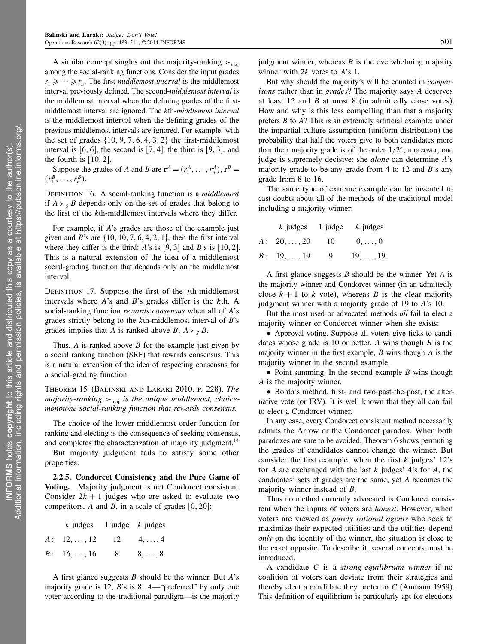A similar concept singles out the majority-ranking  $\succ_{\text{mai}}$ among the social-ranking functions. Consider the input grades  $r_1 \geqslant \cdots \geqslant r_n$ . The first-*middlemost interval* is the middlemost interval previously defined. The second-middlemost interval is the middlemost interval when the defining grades of the firstmiddlemost interval are ignored. The kth-middlemost interval is the middlemost interval when the defining grades of the previous middlemost intervals are ignored. For example, with the set of grades  $\{10, 9, 7, 6, 4, 3, 2\}$  the first-middlemost interval is  $[6, 6]$ , the second is  $[7, 4]$ , the third is  $[9, 3]$ , and the fourth is  $[10, 2]$ .

Suppose the grades of A and B are  $\mathbf{r}^A = (r_1^A, \dots, r_n^A), \mathbf{r}^B =$  $(r_1^B, \ldots, r_n^B).$ 

DEFINITION 16. A social-ranking function is a *middlemost* if  $A \succ_{S} B$  depends only on the set of grades that belong to the first of the kth-middlemost intervals where they differ.

For example, if A's grades are those of the example just given and B's are  $\{10, 10, 7, 6, 4, 2, 1\}$ , then the first interval where they differ is the third: A's is  $[9, 3]$  and B's is  $[10, 2]$ . This is a natural extension of the idea of a middlemost social-grading function that depends only on the middlemost interval.

DEFINITION 17. Suppose the first of the *j*th-middlemost intervals where  $A$ 's and  $B$ 's grades differ is the  $k$ th. A social-ranking function rewards consensus when all of A's grades strictly belong to the  $k$ th-middlemost interval of  $B$ 's grades implies that A is ranked above B,  $A \succ_{S} B$ .

Thus,  $A$  is ranked above  $B$  for the example just given by a social ranking function (SRF) that rewards consensus. This is a natural extension of the idea of respecting consensus for a social-grading function.

Theorem 15 (Balinski and Laraki 2010, p. 228). The majority-ranking  $\succ_{\text{maj}}$  is the unique middlemost, choicemonotone social-ranking function that rewards consensus.

The choice of the lower middlemost order function for ranking and electing is the consequence of seeking consensus, and completes the characterization of majority judgment.<sup>14</sup>

But majority judgment fails to satisfy some other properties.

2.2.5. Condorcet Consistency and the Pure Game of Voting. Majority judgment is not Condorcet consistent. Consider  $2k + 1$  judges who are asked to evaluate two competitors, A and B, in a scale of grades  $[0, 20]$ :

| $k$ judges 1 judge $k$ judges                           |                |                 |
|---------------------------------------------------------|----------------|-----------------|
| $A: \quad 12, \ldots, 12 \qquad 12 \qquad 4, \ldots, 4$ |                |                 |
| $B: 16, \ldots, 16$                                     | 8 <sup>8</sup> | $8, \ldots, 8.$ |

A first glance suggests  $B$  should be the winner. But  $A$ 's majority grade is 12, B's is 8: A—"preferred" by only one voter according to the traditional paradigm—is the majority judgment winner, whereas  $B$  is the overwhelming majority winner with  $2k$  votes to  $A$ 's 1.

But why should the majority's will be counted in *compar*isons rather than in grades? The majority says A deserves at least 12 and B at most 8 (in admittedly close votes). How and why is this less compelling than that a majority prefers B to A? This is an extremely artificial example: under the impartial culture assumption (uniform distribution) the probability that half the voters give to both candidates more than their majority grade is of the order  $1/2^k$ ; moreover, one judge is supremely decisive: she *alone* can determine A's majority grade to be any grade from 4 to 12 and  $B$ 's any grade from 8 to 16.

The same type of extreme example can be invented to cast doubts about all of the methods of the traditional model including a majority winner:

|                     |               | $k$ judges 1 judge $k$ judges |
|---------------------|---------------|-------------------------------|
| $A: 20, \ldots, 20$ | <sup>10</sup> | $0,\ldots,0$                  |
| $B: 19, \ldots, 19$ | 9             | $19, \ldots, 19.$             |

A first glance suggests  $B$  should be the winner. Yet  $A$  is the majority winner and Condorcet winner (in an admittedly close  $k + 1$  to k vote), whereas B is the clear majority judgment winner with a majority grade of 19 to A's 10.

But the most used or advocated methods all fail to elect a majority winner or Condorcet winner when she exists:

• Approval voting. Suppose all voters give ticks to candidates whose grade is 10 or better. A wins though  $B$  is the majority winner in the first example,  $B$  wins though  $A$  is the majority winner in the second example.

• Point summing. In the second example  $B$  wins though A is the majority winner.

• Borda's method, first- and two-past-the-post, the alternative vote (or IRV). It is well known that they all can fail to elect a Condorcet winner.

In any case, every Condorcet consistent method necessarily admits the Arrow or the Condorcet paradox. When both paradoxes are sure to be avoided, Theorem 6 shows permuting the grades of candidates cannot change the winner. But consider the first example: when the first  $k$  judges' 12's for A are exchanged with the last  $k$  judges' 4's for A, the candidates' sets of grades are the same, yet A becomes the majority winner instead of B.

Thus no method currently advocated is Condorcet consistent when the inputs of voters are *honest*. However, when voters are viewed as *purely rational agents* who seek to maximize their expected utilities and the utilities depend only on the identity of the winner, the situation is close to the exact opposite. To describe it, several concepts must be introduced.

A candidate C is a strong-equilibrium winner if no coalition of voters can deviate from their strategies and thereby elect a candidate they prefer to  $C$  (Aumann 1959). This definition of equilibrium is particularly apt for elections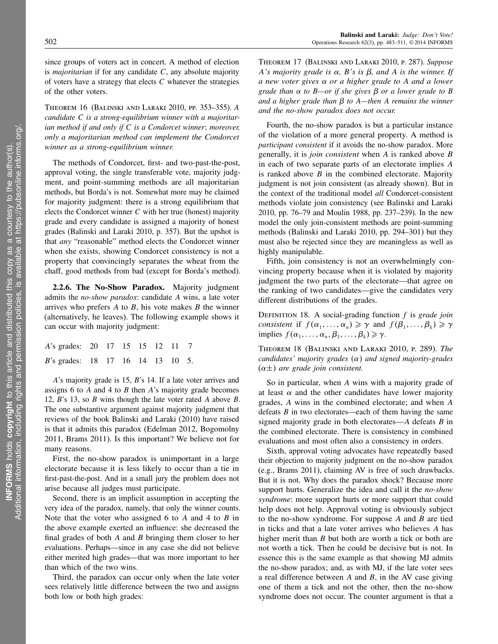since groups of voters act in concert. A method of election is *majoritarian* if for any candidate  $C$ , any absolute majority of voters have a strategy that elects  $C$  whatever the strategies of the other voters.

Theorem 16 (Balinski and Laraki 2010, pp. 353–355). A candidate C is a strong-equilibrium winner with a majoritarian method if and only if  $C$  is a Condorcet winner; moreover, only a majoritarian method can implement the Condorcet winner as a strong-equilibrium winner.

The methods of Condorcet, first- and two-past-the-post, approval voting, the single transferable vote, majority judgment, and point-summing methods are all majoritarian methods, but Borda's is not. Somewhat more may be claimed for majority judgment: there is a strong equilibrium that elects the Condorcet winner C with her true (honest) majority grade and every candidate is assigned a majority of honest grades (Balinski and Laraki 2010, p. 357). But the upshot is that any "reasonable" method elects the Condorcet winner when she exists, showing Condorcet consistency is not a property that convincingly separates the wheat from the chaff, good methods from bad (except for Borda's method).

2.2.6. The No-Show Paradox. Majority judgment admits the no-show paradox: candidate A wins, a late voter arrives who prefers  $A$  to  $B$ , his vote makes  $B$  the winner (alternatively, he leaves). The following example shows it can occur with majority judgment:

| A's grades: 20 17 15 15 12 11 7          |  |  |  |  |
|------------------------------------------|--|--|--|--|
| <i>B</i> 's grades: 18 17 16 14 13 10 5. |  |  |  |  |

A's majority grade is 15, B's 14. If a late voter arrives and assigns 6 to  $A$  and 4 to  $B$  then  $A$ 's majority grade becomes 12, B's 13, so B wins though the late voter rated A above B. The one substantive argument against majority judgment that reviews of the book Balinski and Laraki (2010) have raised is that it admits this paradox (Edelman 2012, Bogomolny 2011, Brams 2011). Is this important? We believe not for many reasons.

First, the no-show paradox is unimportant in a large electorate because it is less likely to occur than a tie in first-past-the-post. And in a small jury the problem does not arise because all judges must participate.

Second, there is an implicit assumption in accepting the very idea of the paradox, namely, that only the winner counts. Note that the voter who assigned 6 to  $A$  and 4 to  $B$  in the above example exerted an influence: she decreased the final grades of both  $A$  and  $B$  bringing them closer to her evaluations. Perhaps—since in any case she did not believe either merited high grades—that was more important to her than which of the two wins.

Third, the paradox can occur only when the late voter sees relatively little difference between the two and assigns both low or both high grades:

Theorem 17 (Balinski and Laraki 2010, p. 287). Suppose A's majority grade is  $\alpha$ , B's is  $\beta$ , and A is the winner. If a new voter gives  $\alpha$  or a higher grade to A and a lower grade than  $\alpha$  to B—or if she gives  $\beta$  or a lower grade to B and a higher grade than  $\beta$  to A—then A remains the winner and the no-show paradox does not occur.

Fourth, the no-show paradox is but a particular instance of the violation of a more general property. A method is participant consistent if it avoids the no-show paradox. More generally, it is join consistent when A is ranked above B in each of two separate parts of an electorate implies A is ranked above  $B$  in the combined electorate. Majority judgment is not join consistent (as already shown). But in the context of the traditional model all Condorcet-consistent methods violate join consistency (see Balinski and Laraki 2010, pp. 76–79 and Moulin 1988, pp. 237–239). In the new model the only join-consistent methods are point-summing methods (Balinski and Laraki 2010, pp. 294–301) but they must also be rejected since they are meaningless as well as highly manipulable.

Fifth, join consistency is not an overwhelmingly convincing property because when it is violated by majority judgment the two parts of the electorate—that agree on the ranking of two candidates—give the candidates very different distributions of the grades.

DEFINITION 18. A social-grading function  $f$  is grade join consistent if  $f(\alpha_1, ..., \alpha_n) \geq \gamma$  and  $f(\beta_1, ..., \beta_k) \geq \gamma$ implies  $f(\alpha_1, ..., \alpha_n, \beta_1, ..., \beta_k) \ge \gamma$ .

Theorem 18 (Balinski and Laraki 2010, p. 289). The candidates' majority grades  $(\alpha)$  and signed majority-grades  $(\alpha \pm)$  are grade join consistent.

So in particular, when A wins with a majority grade of at least  $\alpha$  and the other candidates have lower majority grades, A wins in the combined electorate; and when A defeats  $B$  in two electorates—each of them having the same signed majority grade in both electorates—A defeats B in the combined electorate. There is consistency in combined evaluations and most often also a consistency in orders.

Sixth, approval voting advocates have repeatedly based their objection to majority judgment on the no-show paradox (e.g., Brams 2011), claiming AV is free of such drawbacks. But it is not. Why does the paradox shock? Because more support hurts. Generalize the idea and call it the *no-show* syndrome: more support hurts or more support that could help does not help. Approval voting is obviously subject to the no-show syndrome. For suppose  $A$  and  $B$  are tied in ticks and that a late voter arrives who believes A has higher merit than *B* but both are worth a tick or both are not worth a tick. Then he could be decisive but is not. In essence this is the same example as that showing MJ admits the no-show paradox; and, as with MJ, if the late voter sees a real difference between  $A$  and  $B$ , in the AV case giving one of them a tick and not the other, then the no-show syndrome does not occur. The counter argument is that a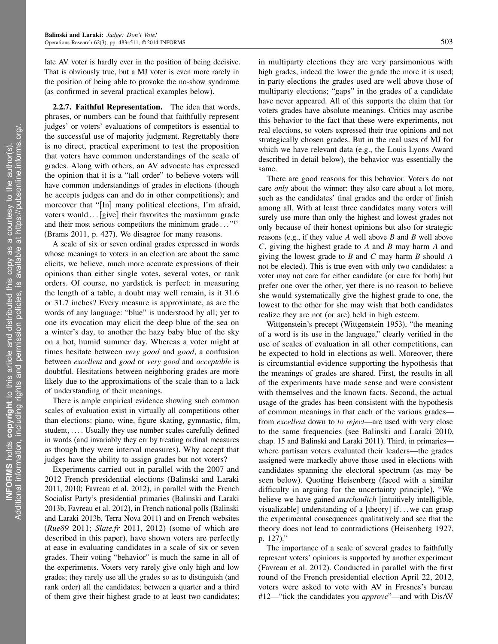late AV voter is hardly ever in the position of being decisive. That is obviously true, but a MJ voter is even more rarely in the position of being able to provoke the no-show syndrome (as confirmed in several practical examples below).

2.2.7. Faithful Representation. The idea that words, phrases, or numbers can be found that faithfully represent judges' or voters' evaluations of competitors is essential to the successful use of majority judgment. Regrettably there is no direct, practical experiment to test the proposition that voters have common understandings of the scale of grades. Along with others, an AV advocate has expressed the opinion that it is a "tall order" to believe voters will have common understandings of grades in elections (though he accepts judges can and do in other competitions); and moreover that "[In] many political elections, I'm afraid, voters would ... [give] their favorites the maximum grade and their most serious competitors the minimum grade ..."<sup>15</sup> (Brams 2011, p. 427). We disagree for many reasons.

A scale of six or seven ordinal grades expressed in words whose meanings to voters in an election are about the same elicits, we believe, much more accurate expressions of their opinions than either single votes, several votes, or rank orders. Of course, no yardstick is perfect: in measuring the length of a table, a doubt may well remain, is it 31.6 or 31.7 inches? Every measure is approximate, as are the words of any language: "blue" is understood by all; yet to one its evocation may elicit the deep blue of the sea on a winter's day, to another the hazy baby blue of the sky on a hot, humid summer day. Whereas a voter might at times hesitate between very good and good, a confusion between *excellent* and *good* or *very good* and *acceptable* is doubtful. Hesitations between neighboring grades are more likely due to the approximations of the scale than to a lack of understanding of their meanings.

There is ample empirical evidence showing such common scales of evaluation exist in virtually all competitions other than elections: piano, wine, figure skating, gymnastic, film, student,  $\ldots$  Usually they use number scales carefully defined in words (and invariably they err by treating ordinal measures as though they were interval measures). Why accept that judges have the ability to assign grades but not voters?

Experiments carried out in parallel with the 2007 and 2012 French presidential elections (Balinski and Laraki 2011, 2010; Favreau et al. 2012), in parallel with the French Socialist Party's presidential primaries (Balinski and Laraki 2013b, Favreau et al. 2012), in French national polls (Balinski and Laraki 2013b, Terra Nova 2011) and on French websites (Rue89 2011; Slate.fr 2011, 2012) (some of which are described in this paper), have shown voters are perfectly at ease in evaluating candidates in a scale of six or seven grades. Their voting "behavior" is much the same in all of the experiments. Voters very rarely give only high and low grades; they rarely use all the grades so as to distinguish (and rank order) all the candidates; between a quarter and a third of them give their highest grade to at least two candidates; in multiparty elections they are very parsimonious with high grades, indeed the lower the grade the more it is used; in party elections the grades used are well above those of multiparty elections; "gaps" in the grades of a candidate have never appeared. All of this supports the claim that for voters grades have absolute meanings. Critics may ascribe this behavior to the fact that these were experiments, not real elections, so voters expressed their true opinions and not strategically chosen grades. But in the real uses of MJ for which we have relevant data (e.g., the Louis Lyons Award described in detail below), the behavior was essentially the same.

There are good reasons for this behavior. Voters do not care *only* about the winner: they also care about a lot more, such as the candidates' final grades and the order of finish among all. With at least three candidates many voters will surely use more than only the highest and lowest grades not only because of their honest opinions but also for strategic reasons (e.g., if they value  $A$  well above  $B$  and  $B$  well above C, giving the highest grade to A and B may harm A and giving the lowest grade to  $B$  and  $C$  may harm  $B$  should  $A$ not be elected). This is true even with only two candidates: a voter may not care for either candidate (or care for both) but prefer one over the other, yet there is no reason to believe she would systematically give the highest grade to one, the lowest to the other for she may wish that both candidates realize they are not (or are) held in high esteem.

Wittgenstein's precept (Wittgenstein 1953), "the meaning of a word is its use in the language," clearly verified in the use of scales of evaluation in all other competitions, can be expected to hold in elections as well. Moreover, there is circumstantial evidence supporting the hypothesis that the meanings of grades are shared. First, the results in all of the experiments have made sense and were consistent with themselves and the known facts. Second, the actual usage of the grades has been consistent with the hypothesis of common meanings in that each of the various grades from *excellent* down to *to reject*—are used with very close to the same frequencies (see Balinski and Laraki 2010, chap. 15 and Balinski and Laraki 2011). Third, in primaries where partisan voters evaluated their leaders—the grades assigned were markedly above those used in elections with candidates spanning the electoral spectrum (as may be seen below). Quoting Heisenberg (faced with a similar difficulty in arguing for the uncertainty principle), "We believe we have gained *anschaulich* [intuitively intelligible, visualizable] understanding of a [theory] if...we can grasp the experimental consequences qualitatively and see that the theory does not lead to contradictions (Heisenberg 1927, p. 127)."

The importance of a scale of several grades to faithfully represent voters' opinions is supported by another experiment (Favreau et al. 2012). Conducted in parallel with the first round of the French presidential election April 22, 2012, voters were asked to vote with AV in Fresnes's bureau #12—"tick the candidates you *approve*"—and with DisAV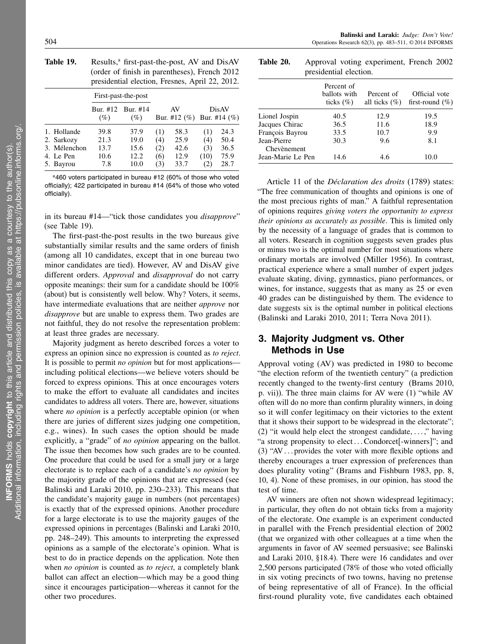| Table 19. | Results, <sup>a</sup> first-past-the-post, AV and DisAV |
|-----------|---------------------------------------------------------|
|           | (order of finish in parentheses), French 2012           |
|           | presidential election, Fresnes, April 22, 2012.         |

|                                                                     | First-past-the-post                 |                                      |                                |                                      |                                                |                                      |
|---------------------------------------------------------------------|-------------------------------------|--------------------------------------|--------------------------------|--------------------------------------|------------------------------------------------|--------------------------------------|
|                                                                     | $(\%)$                              | Bur. #12 Bur. #14<br>$(\%)$          |                                | AV<br>Bur. #12 $(\%)$                |                                                | DisAV<br>Bur. #14 $(\%)$             |
| 1. Hollande<br>2. Sarkozy<br>3. Mélenchon<br>4. Le Pen<br>5. Bayrou | 39.8<br>21.3<br>13.7<br>10.6<br>7.8 | 37.9<br>19.0<br>15.6<br>12.2<br>10.0 | (1)<br>(4)<br>2)<br>(6)<br>(3) | 58.3<br>25.9<br>42.6<br>12.9<br>33.7 | (1)<br>(4)<br>(3)<br>(10)<br>$\left( 2\right)$ | 24.3<br>50.4<br>36.5<br>75.9<br>28.7 |

<sup>a</sup>460 voters participated in bureau #12 (60% of those who voted officially); 422 participated in bureau #14 (64% of those who voted officially).

in its bureau #14—"tick those candidates you disapprove" (see Table 19).

The first-past-the-post results in the two bureaus give substantially similar results and the same orders of finish (among all 10 candidates, except that in one bureau two minor candidates are tied). However, AV and DisAV give different orders. Approval and *disapproval* do not carry opposite meanings: their sum for a candidate should be 100% (about) but is consistently well below. Why? Voters, it seems, have intermediate evaluations that are neither *approve* nor disapprove but are unable to express them. Two grades are not faithful, they do not resolve the representation problem: at least three grades are necessary.

Majority judgment as hereto described forces a voter to express an opinion since no expression is counted as to reject. It is possible to permit *no opinion* but for most applications including political elections—we believe voters should be forced to express opinions. This at once encourages voters to make the effort to evaluate all candidates and incites candidates to address all voters. There are, however, situations where *no opinion* is a perfectly acceptable opinion (or when there are juries of different sizes judging one competition, e.g., wines). In such cases the option should be made explicitly, a "grade" of no opinion appearing on the ballot. The issue then becomes how such grades are to be counted. One procedure that could be used for a small jury or a large electorate is to replace each of a candidate's no opinion by the majority grade of the opinions that are expressed (see Balinski and Laraki 2010, pp. 230–233). This means that the candidate's majority gauge in numbers (not percentages) is exactly that of the expressed opinions. Another procedure for a large electorate is to use the majority gauges of the expressed opinions in percentages (Balinski and Laraki 2010, pp. 248–249). This amounts to interpreting the expressed opinions as a sample of the electorate's opinion. What is best to do in practice depends on the application. Note then when no opinion is counted as to reject, a completely blank ballot can affect an election—which may be a good thing since it encourages participation—whereas it cannot for the other two procedures.

Table 20. Approval voting experiment, French 2002 presidential election.

|                            | Percent of<br>ballots with<br>ticks $(\% )$ | Percent of<br>all ticks $(\%)$ | Official vote<br>first-round $(\%)$ |
|----------------------------|---------------------------------------------|--------------------------------|-------------------------------------|
| Lionel Jospin              | 40.5                                        | 12.9                           | 19.5                                |
| Jacques Chirac             | 36.5                                        | 11.6                           | 18.9                                |
| François Bayrou            | 33.5                                        | 10.7                           | 9.9                                 |
| Jean-Pierre<br>Chevènement | 30.3                                        | 9.6                            | 8.1                                 |
| Jean-Marie Le Pen          | 14.6                                        | 4.6                            | 10.0                                |

Article 11 of the Déclaration des droits (1789) states: "The free communication of thoughts and opinions is one of the most precious rights of man." A faithful representation of opinions requires giving voters the opportunity to express their opinions as accurately as possible. This is limited only by the necessity of a language of grades that is common to all voters. Research in cognition suggests seven grades plus or minus two is the optimal number for most situations where ordinary mortals are involved (Miller 1956). In contrast, practical experience where a small number of expert judges evaluate skating, diving, gymnastics, piano performances, or wines, for instance, suggests that as many as 25 or even 40 grades can be distinguished by them. The evidence to date suggests six is the optimal number in political elections (Balinski and Laraki 2010, 2011; Terra Nova 2011).

# 3. Majority Judgment vs. Other Methods in Use

Approval voting (AV) was predicted in 1980 to become "the election reform of the twentieth century" (a prediction recently changed to the twenty-first century (Brams 2010, p. vii)). The three main claims for AV were (1) "while AV often will do no more than confirm plurality winners, in doing so it will confer legitimacy on their victories to the extent that it shows their support to be widespread in the electorate"; (2) "it would help elect the strongest candidate,  $\dots$ ," having "a strong propensity to elect...Condorcet[-winners]"; and (3) "AV $\dots$  provides the voter with more flexible options and thereby encourages a truer expression of preferences than does plurality voting" (Brams and Fishburn 1983, pp. 8, 10, 4). None of these promises, in our opinion, has stood the test of time.

AV winners are often not shown widespread legitimacy; in particular, they often do not obtain ticks from a majority of the electorate. One example is an experiment conducted in parallel with the French presidential election of 2002 (that we organized with other colleagues at a time when the arguments in favor of AV seemed persuasive; see Balinski and Laraki 2010, §18.4). There were 16 candidates and over 2,500 persons participated (78% of those who voted officially in six voting precincts of two towns, having no pretense of being representative of all of France). In the official first-round plurality vote, five candidates each obtained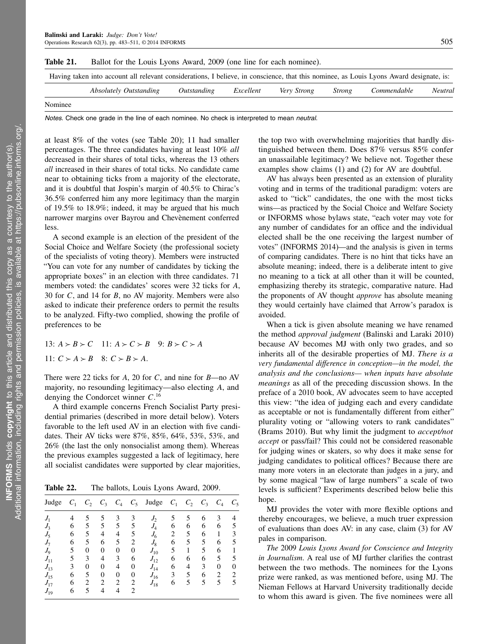| Table 21. | Ballot for the Louis Lyons Award, 2009 (one line for each nominee).                                                                     |             |           |                    |               |             |         |
|-----------|-----------------------------------------------------------------------------------------------------------------------------------------|-------------|-----------|--------------------|---------------|-------------|---------|
|           | Having taken into account all relevant considerations, I believe, in conscience, that this nominee, as Louis Lyons Award designate, is: |             |           |                    |               |             |         |
|           | <i>Absolutely Outstanding</i>                                                                                                           | Outstanding | Excellent | <i>Very Strong</i> | <i>Strong</i> | Commendable | Neutral |
| Nominee   |                                                                                                                                         |             |           |                    |               |             |         |

Notes. Check one grade in the line of each nominee. No check is interpreted to mean neutral.

at least 8% of the votes (see Table 20); 11 had smaller percentages. The three candidates having at least 10% all decreased in their shares of total ticks, whereas the 13 others all increased in their shares of total ticks. No candidate came near to obtaining ticks from a majority of the electorate, and it is doubtful that Jospin's margin of 40.5% to Chirac's 36.5% conferred him any more legitimacy than the margin of 19.5% to 18.9%; indeed, it may be argued that his much narrower margins over Bayrou and Chevènement conferred less.

A second example is an election of the president of the Social Choice and Welfare Society (the professional society of the specialists of voting theory). Members were instructed "You can vote for any number of candidates by ticking the appropriate boxes" in an election with three candidates. 71 members voted: the candidates' scores were 32 ticks for A, 30 for C, and 14 for B, no AV majority. Members were also asked to indicate their preference orders to permit the results to be analyzed. Fifty-two complied, showing the profile of preferences to be

13:  $A > B > C$  11:  $A > C > B$  9:  $B > C > A$ 11:  $C > A > B$  8:  $C > B > A$ .

There were 22 ticks for  $A$ , 20 for  $C$ , and nine for  $B$ —no AV majority, no resounding legitimacy—also electing A, and denying the Condorcet winner  $C$ .<sup>16</sup>

A third example concerns French Socialist Party presidential primaries (described in more detail below). Voters favorable to the left used AV in an election with five candidates. Their AV ticks were 87%, 85%, 64%, 53%, 53%, and 26% (the last the only nonsocialist among them). Whereas the previous examples suggested a lack of legitimacy, here all socialist candidates were supported by clear majorities,

Table 22. The ballots, Louis Lyons Award, 2009.

| Judge                      |   | $C_{2}$ | $C_3$          | $C_4$ | $C_5$ | Judge    | $C_1$ | $C_{2}$ | $C_3$ | $C_4$          | $C_5$ |
|----------------------------|---|---------|----------------|-------|-------|----------|-------|---------|-------|----------------|-------|
| $J_{\scriptscriptstyle 1}$ | 4 | 5       | 5              | 3     | 3     | $J_2$    | 5     | 5       | 6     | 3              | 4     |
| $J_{3}$                    | 6 | 5       | 5              | 5     | 5     | $J_4$    | 6     | 6       | 6     | 6              | 5     |
| $J_5$                      | 6 | 5       | 4              | 4     | 5     | $J_6$    | 2     | 5       | 6     | 1              | 3     |
| $J_{\tau}$                 | 6 | 5       | 6              | 5     | 2     | $J_8$    | 6     | 5       | 5     | 6              | 5     |
| $J_{9}$                    | 5 | 0       | $\Omega$       | 0     | 0     | $J_{10}$ | 5     | 1       | 5     | 6              |       |
| $J_{11}$                   | 5 | 3       | 4              | 3     | 6     | $J_{12}$ | 6     | 6       | 6     | 5              | 5     |
| $J_{13}$                   | 3 | 0       | $\overline{0}$ | 4     | 0     | $J_{14}$ | 6     | 4       | 3     | 0              | 0     |
| $J_{15}$                   | 6 | 5       | $\Omega$       | 0     | 0     | $J_{16}$ | 3     | 5       | 6     | $\overline{2}$ | 2     |
| $J_{17}$                   | 6 | 2       | 2              | 2     | 2     | $J_{18}$ | 6     | 5       | 5     | 5              | 5     |
| $J_{19}$                   | 6 | 5       | 4              | 4     | 2     |          |       |         |       |                |       |

the top two with overwhelming majorities that hardly distinguished between them. Does 87% versus 85% confer an unassailable legitimacy? We believe not. Together these examples show claims (1) and (2) for AV are doubtful.

AV has always been presented as an extension of plurality voting and in terms of the traditional paradigm: voters are asked to "tick" candidates, the one with the most ticks wins—as practiced by the Social Choice and Welfare Society or INFORMS whose bylaws state, "each voter may vote for any number of candidates for an office and the individual elected shall be the one receiving the largest number of votes" (INFORMS 2014)—and the analysis is given in terms of comparing candidates. There is no hint that ticks have an absolute meaning; indeed, there is a deliberate intent to give no meaning to a tick at all other than it will be counted, emphasizing thereby its strategic, comparative nature. Had the proponents of AV thought *approve* has absolute meaning they would certainly have claimed that Arrow's paradox is avoided.

When a tick is given absolute meaning we have renamed the method approval judgment (Balinski and Laraki 2010) because AV becomes MJ with only two grades, and so inherits all of the desirable properties of MJ. There is a very fundamental difference in conception—in the model, the analysis and the conclusions— when inputs have absolute meanings as all of the preceding discussion shows. In the preface of a 2010 book, AV advocates seem to have accepted this view: "the idea of judging each and every candidate as acceptable or not is fundamentally different from either" plurality voting or "allowing voters to rank candidates" (Brams 2010). But why limit the judgment to accept/not accept or pass/fail? This could not be considered reasonable for judging wines or skaters, so why does it make sense for judging candidates to political offices? Because there are many more voters in an electorate than judges in a jury, and by some magical "law of large numbers" a scale of two levels is sufficient? Experiments described below belie this hope.

MJ provides the voter with more flexible options and thereby encourages, we believe, a much truer expression of evaluations than does AV: in any case, claim (3) for AV pales in comparison.

The 2009 Louis Lyons Award for Conscience and Integrity in Journalism. A real use of MJ further clarifies the contrast between the two methods. The nominees for the Lyons prize were ranked, as was mentioned before, using MJ. The Nieman Fellows at Harvard University traditionally decide to whom this award is given. The five nominees were all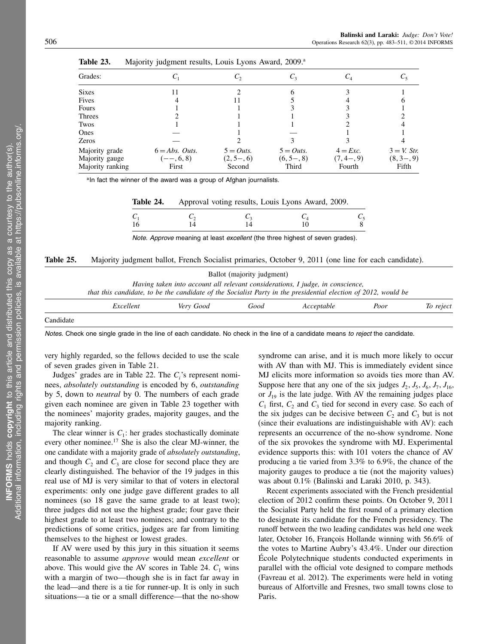| Grades:          |                  | しっ           | $C_{3}$      | $\mathsf{C}_4$ |                |
|------------------|------------------|--------------|--------------|----------------|----------------|
| <b>Sixes</b>     | 11               |              |              |                |                |
| Fives            |                  | Ħ            |              |                |                |
| Fours            |                  |              |              |                |                |
| Threes           |                  |              |              |                |                |
| Twos             |                  |              |              |                |                |
| Ones             |                  |              |              |                |                |
| Zeros            |                  |              |              |                |                |
| Majority grade   | $6 = Abs.$ Outs. | $5 = Outs$ . | $5 = Outs$ . | $4 = Exc.$     | $3 = V$ . Str. |
| Majority gauge   | $(--, 6, 8)$     | $(2, 5-, 6)$ | $(6, 5-, 8)$ | (7, 4, 9)      | $(8, 3-, 9)$   |
| Majority ranking | First            | Second       | Third        | Fourth         | Fifth          |

Table 23. Majority judgment results, Louis Lyons Award, 2009.<sup>a</sup>

aln fact the winner of the award was a group of Afghan journalists.

|  | Table 24. |  |  |  |  |  | Approval voting results, Louis Lyons Award, 2009. |
|--|-----------|--|--|--|--|--|---------------------------------------------------|
|--|-----------|--|--|--|--|--|---------------------------------------------------|

| $\frac{C_1}{16}$ | $\frac{C_2}{14}$ | $\frac{C_3}{14}$ | $\begin{array}{c} C_4 \\ 10 \end{array}$ | $\frac{C_5}{8}$ |
|------------------|------------------|------------------|------------------------------------------|-----------------|
|                  |                  |                  |                                          |                 |

Note. Approve meaning at least excellent (the three highest of seven grades).

Table 25. Majority judgment ballot, French Socialist primaries, October 9, 2011 (one line for each candidate).

|           |                                                                                                                |           | Ballot (majority judgment) |                                                                                |      |           |
|-----------|----------------------------------------------------------------------------------------------------------------|-----------|----------------------------|--------------------------------------------------------------------------------|------|-----------|
|           | that this candidate, to be the candidate of the Socialist Party in the presidential election of 2012, would be |           |                            | Having taken into account all relevant considerations, I judge, in conscience, |      |           |
|           | Excellent                                                                                                      | Very Good | Good                       | Acceptable                                                                     | Poor | To reject |
| Candidate |                                                                                                                |           |                            |                                                                                |      |           |

Notes. Check one single grade in the line of each candidate. No check in the line of a candidate means to reject the candidate.

very highly regarded, so the fellows decided to use the scale of seven grades given in Table 21.

Judges' grades are in Table 22. The  $C_i$ 's represent nominees, absolutely outstanding is encoded by 6, outstanding by 5, down to neutral by 0. The numbers of each grade given each nominee are given in Table 23 together with the nominees' majority grades, majority gauges, and the majority ranking.

The clear winner is  $C_1$ : her grades stochastically dominate every other nominee.<sup>17</sup> She is also the clear MJ-winner, the one candidate with a majority grade of absolutely outstanding, and though  $C_2$  and  $C_3$  are close for second place they are clearly distinguished. The behavior of the 19 judges in this real use of MJ is very similar to that of voters in electoral experiments: only one judge gave different grades to all nominees (so 18 gave the same grade to at least two); three judges did not use the highest grade; four gave their highest grade to at least two nominees; and contrary to the predictions of some critics, judges are far from limiting themselves to the highest or lowest grades.

If AV were used by this jury in this situation it seems reasonable to assume approve would mean excellent or above. This would give the AV scores in Table 24.  $C_1$  wins with a margin of two—though she is in fact far away in the lead—and there is a tie for runner-up. It is only in such situations—a tie or a small difference—that the no-show

syndrome can arise, and it is much more likely to occur with AV than with MJ. This is immediately evident since MJ elicits more information so avoids ties more than AV. Suppose here that any one of the six judges  $J_2$ ,  $J_5$ ,  $J_6$ ,  $J_7$ ,  $J_{16}$ , or  $J_{19}$  is the late judge. With AV the remaining judges place  $C_1$  first,  $C_2$  and  $C_3$  tied for second in every case. So each of the six judges can be decisive between  $C_2$  and  $C_3$  but is not (since their evaluations are indistinguishable with AV): each represents an occurrence of the no-show syndrome. None of the six provokes the syndrome with MJ. Experimental evidence supports this: with 101 voters the chance of AV producing a tie varied from 3.3% to 6.9%, the chance of the majority gauges to produce a tie (not the majority values) was about 0.1% (Balinski and Laraki 2010, p. 343).

Recent experiments associated with the French presidential election of 2012 confirm these points. On October 9, 2011 the Socialist Party held the first round of a primary election to designate its candidate for the French presidency. The runoff between the two leading candidates was held one week later, October 16, François Hollande winning with 56.6% of the votes to Martine Aubry's 43.4%. Under our direction École Polytechnique students conducted experiments in parallel with the official vote designed to compare methods (Favreau et al. 2012). The experiments were held in voting bureaus of Alfortville and Fresnes, two small towns close to Paris.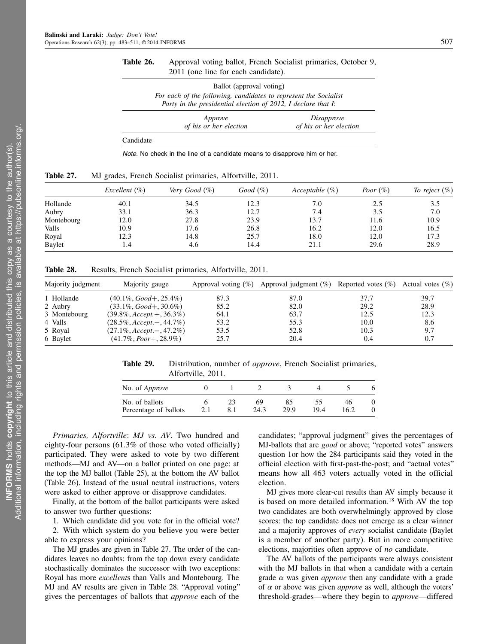### Table 26. Approval voting ballot, French Socialist primaries, October 9, 2011 (one line for each candidate).

| Ballot (approval voting)                                                                                                          |                   |
|-----------------------------------------------------------------------------------------------------------------------------------|-------------------|
| For each of the following, candidates to represent the Socialist<br>Party in the presidential election of 2012, I declare that I: |                   |
| Approve                                                                                                                           | <i>Disapprove</i> |

|           | Approve<br>of his or her election | <i>Disapprove</i><br>of his or her election |
|-----------|-----------------------------------|---------------------------------------------|
| Candidate |                                   |                                             |

Note. No check in the line of a candidate means to disapprove him or her.

| Table 27. |  | MJ grades, French Socialist primaries, Alfortville, 2011. |  |  |  |
|-----------|--|-----------------------------------------------------------|--|--|--|
|-----------|--|-----------------------------------------------------------|--|--|--|

|            | Excellent $(\%)$ | Very Good $(\%)$ | Good (%) | Acceptable $(\%)$ | Poor $(\%)$ | To reject $(\%)$ |
|------------|------------------|------------------|----------|-------------------|-------------|------------------|
| Hollande   | 40.1             | 34.5             | 12.3     | 7.0               | 2.5         | 3.5              |
| Aubry      | 33.1             | 36.3             | 12.7     | 7.4               | 3.5         | 7.0              |
| Montebourg | 12.0             | 27.8             | 23.9     | 13.7              | 11.6        | 10.9             |
| Valls      | 10.9             | 17.6             | 26.8     | 16.2              | 12.0        | 16.5             |
| Royal      | 12.3             | 14.8             | 25.7     | 18.0              | 12.0        | 17.3             |
| Baylet     | 1.4              | 4.6              | 14.4     | 21.1              | 29.6        | 28.9             |

Table 28. Results, French Socialist primaries, Alfortville, 2011.

| Majority judgment | Majority gauge                |      | Approval voting (%) Approval judgment (%) Reported votes (%) Actual votes (%) |      |      |
|-------------------|-------------------------------|------|-------------------------------------------------------------------------------|------|------|
| 1 Hollande        | $(40.1\%, Good+, 25.4\%)$     | 87.3 | 87.0                                                                          | 37.7 | 39.7 |
| 2 Aubry           | $(33.1\%, Good+, 30.6\%)$     | 85.2 | 82.0                                                                          | 29.2 | 28.9 |
| 3 Montebourg      | $(39.8\%, Accept.+, 36.3\%)$  | 64.1 | 63.7                                                                          | 12.5 | 12.3 |
| 4 Valls           | $(28.5\%, Accept. -, 44.7\%)$ | 53.2 | 55.3                                                                          | 10.0 | 8.6  |
| 5 Royal           | $(27.1\%, Accept. -, 47.2\%)$ | 53.5 | 52.8                                                                          | 10.3 | 9.7  |
| 6 Baylet          | $(41.7\%, Poor+, 28.9\%)$     | 25.7 | 20.4                                                                          | 0.4  | 0.7  |

Table 29. Distribution, number of *approve*, French Socialist primaries, Alfortville, 2011.

| No. of <i>Approve</i>                   |     |            |            |            |            |  |
|-----------------------------------------|-----|------------|------------|------------|------------|--|
| No. of ballots<br>Percentage of ballots | 2.1 | 69<br>24.3 | 85<br>29.9 | ЭD<br>19.4 | 46<br>16.2 |  |

Primaries, Alfortville: MJ vs. AV. Two hundred and eighty-four persons (61.3% of those who voted officially) participated. They were asked to vote by two different methods—MJ and AV—on a ballot printed on one page: at the top the MJ ballot (Table 25), at the bottom the AV ballot (Table 26). Instead of the usual neutral instructions, voters were asked to either approve or disapprove candidates.

Finally, at the bottom of the ballot participants were asked to answer two further questions:

1. Which candidate did you vote for in the official vote? 2. With which system do you believe you were better able to express your opinions?

The MJ grades are given in Table 27. The order of the candidates leaves no doubts: from the top down every candidate stochastically dominates the successor with two exceptions: Royal has more excellents than Valls and Montebourg. The MJ and AV results are given in Table 28. "Approval voting" gives the percentages of ballots that *approve* each of the

candidates; "approval judgment" gives the percentages of MJ-ballots that are *good* or above; "reported votes" answers question 1or how the 284 participants said they voted in the official election with first-past-the-post; and "actual votes" means how all 463 voters actually voted in the official election.

MJ gives more clear-cut results than AV simply because it is based on more detailed information.<sup>18</sup> With AV the top two candidates are both overwhelmingly approved by close scores: the top candidate does not emerge as a clear winner and a majority approves of every socialist candidate (Baylet is a member of another party). But in more competitive elections, majorities often approve of no candidate.

The AV ballots of the participants were always consistent with the MJ ballots in that when a candidate with a certain grade  $\alpha$  was given *approve* then any candidate with a grade of  $\alpha$  or above was given *approve* as well, although the voters' threshold-grades—where they begin to approve—differed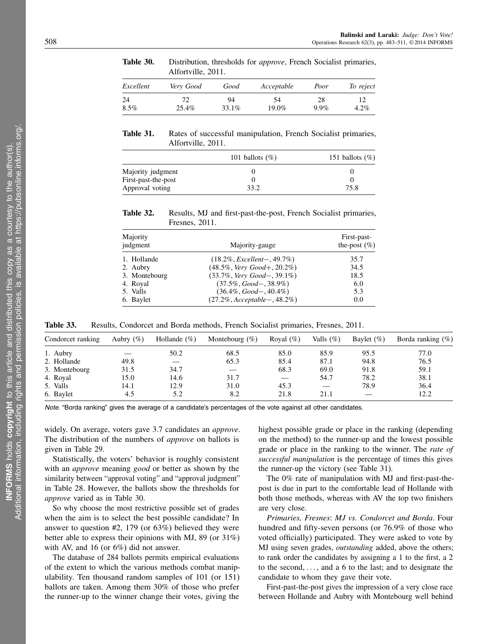Alfortville, 2011. Excellent Very Good Good Acceptable Poor To reject 24 72 94 54 28 12  $8.5\%$  25.4% 33.1% 19.0% 9.9% 4.2%

Table 30. Distribution, thresholds for *approve*, French Socialist primaries,

Table 31. Rates of successful manipulation, French Socialist primaries, Alfortville, 2011.

|                     | 101 ballots $(\%)$ | 151 ballots $(\%)$ |
|---------------------|--------------------|--------------------|
| Majority judgment   |                    |                    |
| First-past-the-post |                    |                    |
| Approval voting     | 33.2               | 75.8               |

Table 32. Results, MJ and first-past-the-post, French Socialist primaries, Fresnes, 2011.

| Majority<br>judgment | Majority-gauge                        | First-past-<br>the-post $(\%)$ |  |
|----------------------|---------------------------------------|--------------------------------|--|
| 1. Hollande          | $(18.2\%, Excellent-, 49.7\%)$        | 35.7                           |  |
| 2. Aubry             | $(48.5\%, \text{Very Good}+, 20.2\%)$ | 34.5                           |  |
| 3. Montebourg        | $(33.7\%, \text{Very Good}-, 39.1\%)$ | 18.5                           |  |
| 4. Royal             | $(37.5\%, Good-, 38.9\%)$             | 6.0                            |  |
| 5. Valls             | $(36.4\%, Good-, 40.4\%)$             | 5.3                            |  |
| 6. Baylet            | $(27.2\%, Acceptable-, 48.2\%)$       | 0.0                            |  |

Table 33. Results, Condorcet and Borda methods, French Socialist primaries, Fresnes, 2011.

| Condorcet ranking | Aubry $(\%)$ | Hollande $(\%)$ | Montebourg $(\%)$ | Royal $(\%)$             | Valls $(\%)$ | Baylet $(\% )$ | Borda ranking $(\%)$ |
|-------------------|--------------|-----------------|-------------------|--------------------------|--------------|----------------|----------------------|
| 1. Aubry          |              | 50.2            | 68.5              | 85.0                     | 85.9         | 95.5           | 77.0                 |
| 2. Hollande       | 49.8         |                 | 65.3              | 85.4                     | 87.1         | 94.8           | 76.5                 |
| 3. Montebourg     | 31.5         | 34.7            |                   | 68.3                     | 69.0         | 91.8           | 59.1                 |
| 4. Royal          | 15.0         | 14.6            | 31.7              | $\overline{\phantom{m}}$ | 54.7         | 78.2           | 38.1                 |
| 5. Valls          | 14.1         | 12.9            | 31.0              | 45.3                     |              | 78.9           | 36.4                 |
| 6. Baylet         | 4.5          | 5.2             | 8.2               | 21.8                     | 21.1         |                | 12.2                 |
|                   |              |                 |                   |                          |              |                |                      |

Note. "Borda ranking" gives the average of a candidate's percentages of the vote against all other candidates.

widely. On average, voters gave 3.7 candidates an approve. The distribution of the numbers of *approve* on ballots is given in Table 29.

Statistically, the voters' behavior is roughly consistent with an *approve* meaning *good* or better as shown by the similarity between "approval voting" and "approval judgment" in Table 28. However, the ballots show the thresholds for approve varied as in Table 30.

So why choose the most restrictive possible set of grades when the aim is to select the best possible candidate? In answer to question #2, 179 (or 63%) believed they were better able to express their opinions with MJ, 89 (or 31%) with AV, and 16 (or 6%) did not answer.

The database of 284 ballots permits empirical evaluations of the extent to which the various methods combat manipulability. Ten thousand random samples of 101 (or 151) ballots are taken. Among them 30% of those who prefer the runner-up to the winner change their votes, giving the

highest possible grade or place in the ranking (depending on the method) to the runner-up and the lowest possible grade or place in the ranking to the winner. The *rate of* successful manipulation is the percentage of times this gives the runner-up the victory (see Table 31).

The 0% rate of manipulation with MJ and first-past-thepost is due in part to the comfortable lead of Hollande with both those methods, whereas with AV the top two finishers are very close.

Primaries, Fresnes: MJ vs. Condorcet and Borda. Four hundred and fifty-seven persons (or 76.9% of those who voted officially) participated. They were asked to vote by MJ using seven grades, outstanding added, above the others; to rank order the candidates by assigning a 1 to the first, a 2 to the second,  $\dots$ , and a 6 to the last; and to designate the candidate to whom they gave their vote.

First-past-the-post gives the impression of a very close race between Hollande and Aubry with Montebourg well behind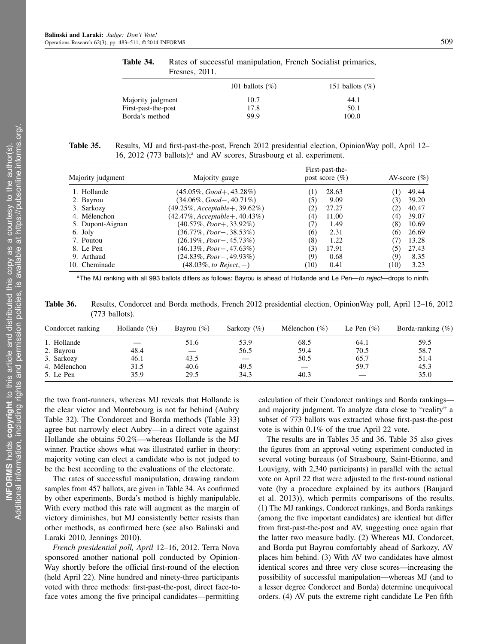|                     | 101 ballots $(\%)$ | 151 ballots $(\%)$ |
|---------------------|--------------------|--------------------|
| Majority judgment   | 10.7               | 44.1               |
| First-past-the-post | 17.8               | 50.1               |
| Borda's method      | 99.9               | 100.0              |

Table 34. Rates of successful manipulation, French Socialist primaries, Fresnes, 2011.

Table 35. Results, MJ and first-past-the-post, French 2012 presidential election, OpinionWay poll, April 12– 16, 2012 (773 ballots);<sup>a</sup> and AV scores, Strasbourg et al. experiment.

| Majority judgment | Majority gauge                    |      | First-past-the-<br>post score $(\% )$ | AV-score $(\% )$ |       |
|-------------------|-----------------------------------|------|---------------------------------------|------------------|-------|
| 1. Hollande       | $(45.05\%, Good+, 43.28\%)$       |      | 28.63                                 |                  | 49.44 |
| 2. Bayrou         | $(34.06\%, Good-, 40.71\%)$       | (5)  | 9.09                                  | (3)              | 39.20 |
| 3. Sarkozy        | $(49.25\%, Acceptable+, 39.62\%)$ | (2)  | 27.27                                 | (2)              | 40.47 |
| 4. Mélenchon      | $(42.47\%, Acceptable+, 40.43\%)$ | (4)  | 11.00                                 | (4)              | 39.07 |
| 5. Dupont-Aignan  | $(40.57\%, Poor+, 33.92\%)$       |      | 1.49                                  | (8)              | 10.69 |
| 6. Joly           | $(36.77\%, Poor-, 38.53\%)$       | (6)  | 2.31                                  | (6)              | 26.69 |
| 7. Poutou         | $(26.19\%, Poor-.45.73\%)$        | (8)  | 1.22                                  |                  | 13.28 |
| 8. Le Pen         | $(46.13\%, Poor-.47.63\%)$        | (3)  | 17.91                                 | (5)              | 27.43 |
| 9. Arthaud        | $(24.83\%, Poor-.49.93\%)$        | (9)  | 0.68                                  | (9)              | 8.35  |
| 10. Cheminade     | $(48.03\%, to Reject, -)$         | (10) | 0.41                                  | (10)             | 3.23  |

aThe MJ ranking with all 993 ballots differs as follows: Bayrou is ahead of Hollande and Le Pen—to reject—drops to ninth.

Table 36. Results, Condorcet and Borda methods, French 2012 presidential election, OpinionWay poll, April 12–16, 2012 (773 ballots).

| Condorcet ranking | Hollande $(\%)$ | Bayrou $(\%)$ | Sarkozy $(\%)$    | Mélenchon $(\%)$ | Le Pen $(\% )$ | Borda-ranking $(\%)$ |
|-------------------|-----------------|---------------|-------------------|------------------|----------------|----------------------|
| 1. Hollande       |                 | 51.6          | 53.9              | 68.5             | 64.1           | 59.5                 |
| 2. Bayrou         | 48.4            |               | 56.5              | 59.4             | 70.5           | 58.7                 |
| 3. Sarkozy        | 46.1            | 43.5          | $\qquad \qquad -$ | 50.5             | 65.7           | 51.4                 |
| 4. Mélenchon      | 31.5            | 40.6          | 49.5              |                  | 59.7           | 45.3                 |
| 5. Le Pen         | 35.9            | 29.5          | 34.3              | 40.3             |                | 35.0                 |

the two front-runners, whereas MJ reveals that Hollande is the clear victor and Montebourg is not far behind (Aubry Table 32). The Condorcet and Borda methods (Table 33) agree but narrowly elect Aubry—in a direct vote against Hollande she obtains 50.2%—whereas Hollande is the MJ winner. Practice shows what was illustrated earlier in theory: majority voting can elect a candidate who is not judged to be the best according to the evaluations of the electorate.

The rates of successful manipulation, drawing random samples from 457 ballots, are given in Table 34. As confirmed by other experiments, Borda's method is highly manipulable. With every method this rate will augment as the margin of victory diminishes, but MJ consistently better resists than other methods, as confirmed here (see also Balinski and Laraki 2010, Jennings 2010).

French presidential poll, April 12–16, 2012. Terra Nova sponsored another national poll conducted by Opinion-Way shortly before the official first-round of the election (held April 22). Nine hundred and ninety-three participants voted with three methods: first-past-the-post, direct face-toface votes among the five principal candidates—permitting

calculation of their Condorcet rankings and Borda rankings and majority judgment. To analyze data close to "reality" a subset of 773 ballots was extracted whose first-past-the-post vote is within 0.1% of the true April 22 vote.

The results are in Tables 35 and 36. Table 35 also gives the figures from an approval voting experiment conducted in several voting bureaus (of Strasbourg, Saint-Etienne, and Louvigny, with 2,340 participants) in parallel with the actual vote on April 22 that were adjusted to the first-round national vote (by a procedure explained by its authors (Baujard et al. 2013)), which permits comparisons of the results. (1) The MJ rankings, Condorcet rankings, and Borda rankings (among the five important candidates) are identical but differ from first-past-the-post and AV, suggesting once again that the latter two measure badly. (2) Whereas MJ, Condorcet, and Borda put Bayrou comfortably ahead of Sarkozy, AV places him behind. (3) With AV two candidates have almost identical scores and three very close scores—increasing the possibility of successful manipulation—whereas MJ (and to a lesser degree Condorcet and Borda) determine unequivocal orders. (4) AV puts the extreme right candidate Le Pen fifth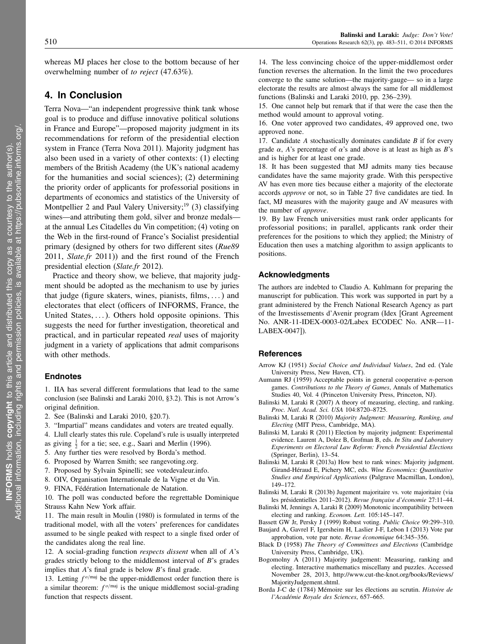whereas MJ places her close to the bottom because of her overwhelming number of to reject (47.63%).

## 4. In Conclusion

Terra Nova—"an independent progressive think tank whose goal is to produce and diffuse innovative political solutions in France and Europe"—proposed majority judgment in its recommendations for reform of the presidential election system in France (Terra Nova 2011). Majority judgment has also been used in a variety of other contexts: (1) electing members of the British Academy (the UK's national academy for the humanities and social sciences); (2) determining the priority order of applicants for professorial positions in departments of economics and statistics of the University of Montpellier 2 and Paul Valery University;<sup>19</sup> (3) classifying wines—and attributing them gold, silver and bronze medals at the annual Les Citadelles du Vin competition; (4) voting on the Web in the first-round of France's Socialist presidential primary (designed by others for two different sites (Rue89 2011, *Slate.fr* 2011)) and the first round of the French presidential election (Slate.fr 2012).

Practice and theory show, we believe, that majority judgment should be adopted as the mechanism to use by juries that judge (figure skaters, wines, pianists, films,  $\dots$ ) and electorates that elect (officers of INFORMS, France, the United States,  $\dots$ ). Others hold opposite opinions. This suggests the need for further investigation, theoretical and practical, and in particular repeated *real* uses of majority judgment in a variety of applications that admit comparisons with other methods.

### **Endnotes**

1. IIA has several different formulations that lead to the same conclusion (see Balinski and Laraki 2010, §3.2). This is not Arrow's original definition.

- 2. See (Balinski and Laraki 2010, §20.7).
- 3. "Impartial" means candidates and voters are treated equally.
- 4. Llull clearly states this rule. Copeland's rule is usually interpreted
- as giving  $\frac{1}{2}$  for a tie; see, e.g., Saari and Merlin (1996).
- 5. Any further ties were resolved by Borda's method.
- 6. Proposed by Warren Smith; see rangevoting.org.
- 7. Proposed by Sylvain Spinelli; see votedevaleur.info.
- 8. OIV, Organisation Internationale de la Vigne et du Vin.
- 9. FINA, Fédération Internationale de Natation.

10. The poll was conducted before the regrettable Dominique Strauss Kahn New York affair.

11. The main result in Moulin (1980) is formulated in terms of the traditional model, with all the voters' preferences for candidates assumed to be single peaked with respect to a single fixed order of the candidates along the real line.

12. A social-grading function respects dissent when all of A's grades strictly belong to the middlemost interval of B's grades implies that A's final grade is below B's final grade.

13. Letting  $f^{o/\text{maj}}$  be the upper-middlemost order function there is a similar theorem:  $f^{o/\text{maj}}$  is the unique middlemost social-grading function that respects dissent.

14. The less convincing choice of the upper-middlemost order function reverses the alternation. In the limit the two procedures converge to the same solution—the majority-gauge— so in a large electorate the results are almost always the same for all middlemost functions (Balinski and Laraki 2010, pp. 236–239).

15. One cannot help but remark that if that were the case then the method would amount to approval voting.

16. One voter approved two candidates, 49 approved one, two approved none.

17. Candidate  $A$  stochastically dominates candidate  $B$  if for every grade  $\alpha$ , A's percentage of  $\alpha$ 's and above is at least as high as B's and is higher for at least one grade.

18. It has been suggested that MJ admits many ties because candidates have the same majority grade. With this perspective AV has even more ties because either a majority of the electorate accords approve or not, so in Table 27 five candidates are tied. In fact, MJ measures with the majority gauge and AV measures with the number of approve.

19. By law French universities must rank order applicants for professorial positions; in parallel, applicants rank order their preferences for the positions to which they applied; the Ministry of Education then uses a matching algorithm to assign applicants to positions.

### Acknowledgments

The authors are indebted to Claudio A. Kuhlmann for preparing the manuscript for publication. This work was supported in part by a grant administered by the French National Research Agency as part of the Investissements d'Avenir program (Idex [Grant Agreement No. ANR-11-IDEX-0003-02/Labex ECODEC No. ANR—11- LABEX-0047]).

### **References**

- Arrow KJ (1951) Social Choice and Individual Values, 2nd ed. (Yale University Press, New Haven, CT).
- Aumann RJ (1959) Acceptable points in general cooperative n-person games. Contributions to the Theory of Games, Annals of Mathematics Studies 40, Vol. 4 (Princeton University Press, Princeton, NJ).
- Balinski M, Laraki R (2007) A theory of measuring, electing, and ranking. Proc. Natl. Acad. Sci. USA 104:8720–8725.
- Balinski M, Laraki R (2010) Majority Judgment: Measuring, Ranking, and Electing (MIT Press, Cambridge, MA).
- Balinski M, Laraki R (2011) Election by majority judgment: Experimental evidence. Laurent A, Dolez B, Grofman B, eds. In Situ and Laboratory Experiments on Electoral Law Reform: French Presidential Elections (Springer, Berlin), 13–54.
- Balinski M, Laraki R (2013a) How best to rank wines: Majority judgment. Girand-Héraud E, Pichery MC, eds. Wine Economics: Quantitative Studies and Empirical Applications (Palgrave Macmillan, London), 149–172.
- Balinski M, Laraki R (2013b) Jugement majoritaire vs. vote majoritaire (via les présidentielles 2011–2012). Revue française d'économie 27:11–44.
- Balinski M, Jennings A, Laraki R (2009) Monotonic incompatibility between electing and ranking. Econom. Lett. 105:145–147.
- Bassett GW Jr, Persky J (1999) Robust voting. Public Choice 99:299–310. Baujard A, Gavrel F, Igersheim H, Laslier J-F, Lebon I (2013) Vote par
- approbation, vote par note. Revue économique 64:345–356.
- Black D (1958) The Theory of Committees and Elections (Cambridge University Press, Cambridge, UK).
- Bogomolny A (2011) Majority judgement: Measuring, ranking and electing. Interactive mathematics miscellany and puzzles. Accessed November 28, 2013, http://www.cut-the-knot.org/books/Reviews/ MajorityJudgement.shtml.
- Borda J-C de (1784) Mémoire sur les élections au scrutin. Histoire de l'Académie Royale des Sciences, 657–665.